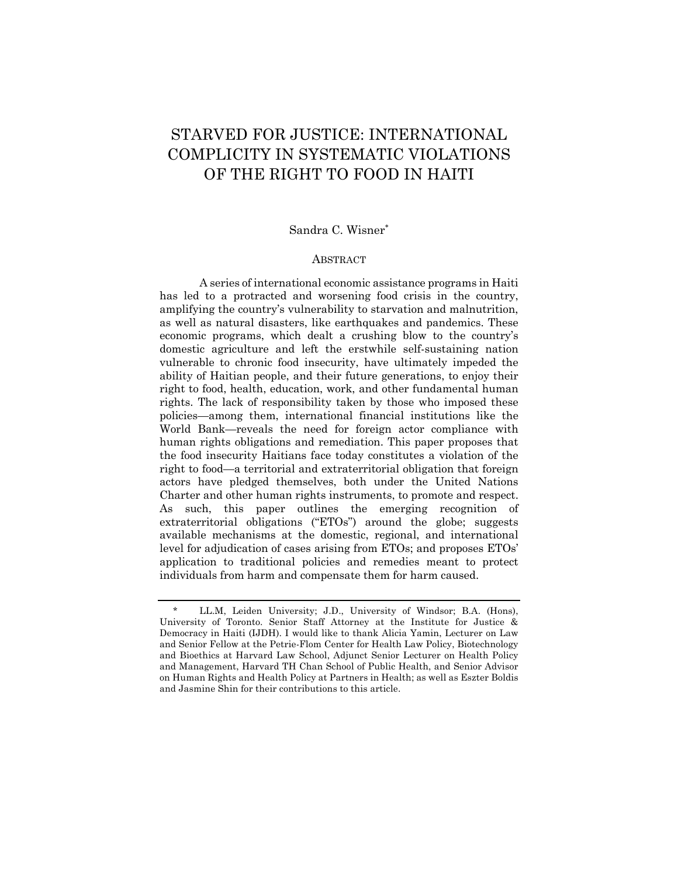# STARVED FOR JUSTICE: INTERNATIONAL COMPLICITY IN SYSTEMATIC VIOLATIONS OF THE RIGHT TO FOOD IN HAITI

## Sandra C. Wisner\*

#### ABSTRACT

A series of international economic assistance programs in Haiti has led to a protracted and worsening food crisis in the country, amplifying the country's vulnerability to starvation and malnutrition, as well as natural disasters, like earthquakes and pandemics. These economic programs, which dealt a crushing blow to the country's domestic agriculture and left the erstwhile self-sustaining nation vulnerable to chronic food insecurity, have ultimately impeded the ability of Haitian people, and their future generations, to enjoy their right to food, health, education, work, and other fundamental human rights. The lack of responsibility taken by those who imposed these policies—among them, international financial institutions like the World Bank—reveals the need for foreign actor compliance with human rights obligations and remediation. This paper proposes that the food insecurity Haitians face today constitutes a violation of the right to food—a territorial and extraterritorial obligation that foreign actors have pledged themselves, both under the United Nations Charter and other human rights instruments, to promote and respect. As such, this paper outlines the emerging recognition of extraterritorial obligations ("ETOs") around the globe; suggests available mechanisms at the domestic, regional, and international level for adjudication of cases arising from ETOs; and proposes ETOs' application to traditional policies and remedies meant to protect individuals from harm and compensate them for harm caused.

<sup>\*</sup> LL.M, Leiden University; J.D., University of Windsor; B.A. (Hons), University of Toronto. Senior Staff Attorney at the Institute for Justice & Democracy in Haiti (IJDH). I would like to thank Alicia Yamin, Lecturer on Law and Senior Fellow at the Petrie-Flom Center for Health Law Policy, Biotechnology and Bioethics at Harvard Law School, Adjunct Senior Lecturer on Health Policy and Management, Harvard TH Chan School of Public Health, and Senior Advisor on Human Rights and Health Policy at Partners in Health; as well as Eszter Boldis and Jasmine Shin for their contributions to this article.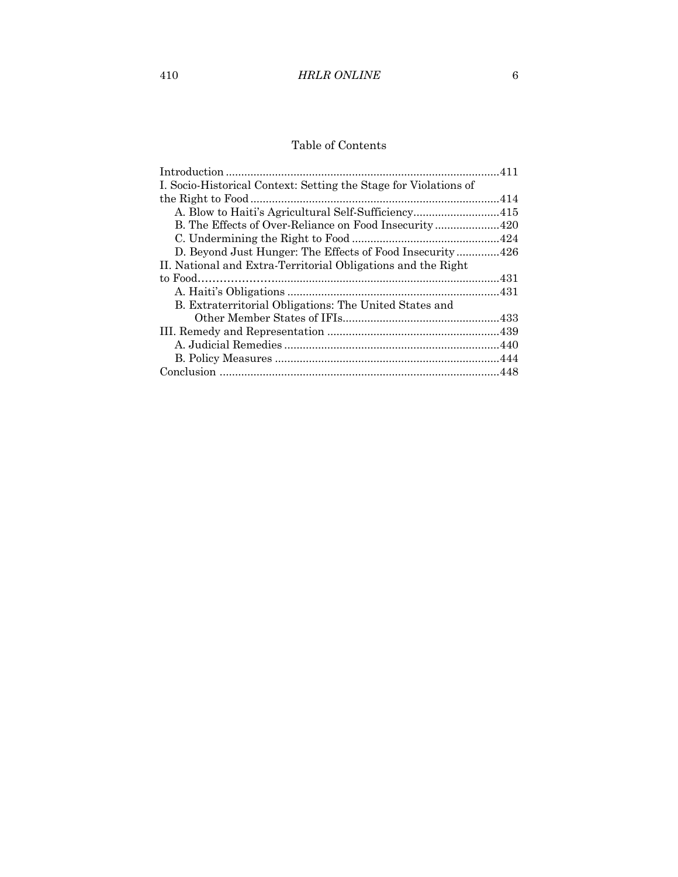# Table of Contents

| I. Socio-Historical Context: Setting the Stage for Violations of |  |
|------------------------------------------------------------------|--|
|                                                                  |  |
|                                                                  |  |
|                                                                  |  |
|                                                                  |  |
| D. Beyond Just Hunger: The Effects of Food Insecurity426         |  |
| II. National and Extra-Territorial Obligations and the Right     |  |
|                                                                  |  |
|                                                                  |  |
| B. Extraterritorial Obligations: The United States and           |  |
|                                                                  |  |
|                                                                  |  |
|                                                                  |  |
|                                                                  |  |
|                                                                  |  |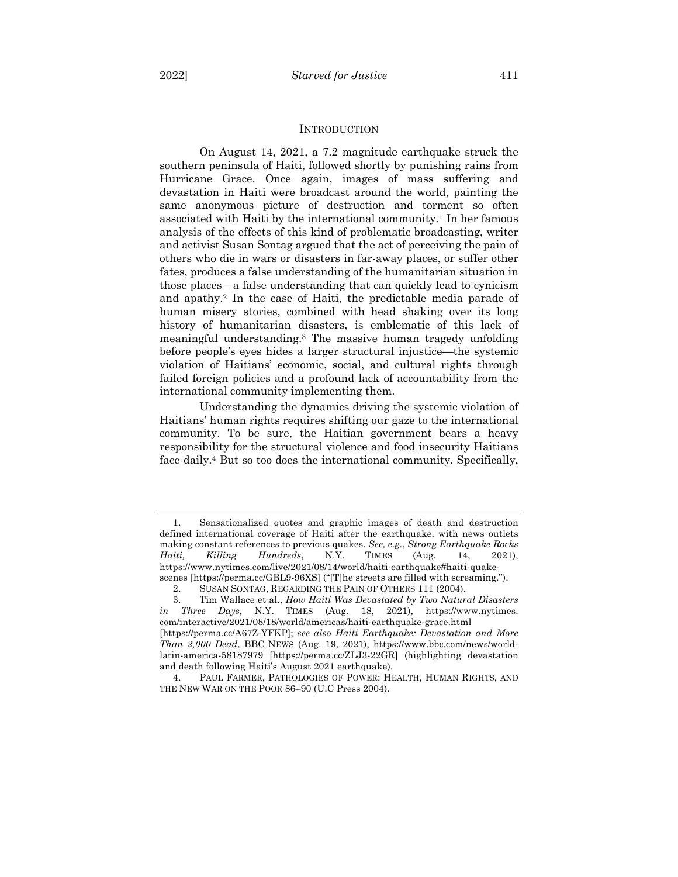#### **INTRODUCTION**

On August 14, 2021, a 7.2 magnitude earthquake struck the southern peninsula of Haiti, followed shortly by punishing rains from Hurricane Grace. Once again, images of mass suffering and devastation in Haiti were broadcast around the world, painting the same anonymous picture of destruction and torment so often associated with Haiti by the international community.1 In her famous analysis of the effects of this kind of problematic broadcasting, writer and activist Susan Sontag argued that the act of perceiving the pain of others who die in wars or disasters in far-away places, or suffer other fates, produces a false understanding of the humanitarian situation in those places—a false understanding that can quickly lead to cynicism and apathy.2 In the case of Haiti, the predictable media parade of human misery stories, combined with head shaking over its long history of humanitarian disasters, is emblematic of this lack of meaningful understanding.3 The massive human tragedy unfolding before people's eyes hides a larger structural injustice—the systemic violation of Haitians' economic, social, and cultural rights through failed foreign policies and a profound lack of accountability from the international community implementing them.

Understanding the dynamics driving the systemic violation of Haitians' human rights requires shifting our gaze to the international community. To be sure, the Haitian government bears a heavy responsibility for the structural violence and food insecurity Haitians face daily.4 But so too does the international community. Specifically,

<sup>1.</sup> Sensationalized quotes and graphic images of death and destruction defined international coverage of Haiti after the earthquake, with news outlets making constant references to previous quakes. *See, e.g.*, *Strong Earthquake Rocks Haiti, Killing Hundreds*, N.Y. TIMES (Aug. 14, 2021), https://www.nytimes.com/live/2021/08/14/world/haiti-earthquake#haiti-quakescenes [https://perma.cc/GBL9-96XS] ("[T]he streets are filled with screaming.").

<sup>2.</sup> SUSAN SONTAG, REGARDING THE PAIN OF OTHERS 111 (2004).

<sup>3.</sup> Tim Wallace et al., *How Haiti Was Devastated by Two Natural Disasters in Three Days*, N.Y. TIMES (Aug. 18, 2021), https://www.nytimes. com/interactive/2021/08/18/world/americas/haiti-earthquake-grace.html [https://perma.cc/A67Z-YFKP]; *see also Haiti Earthquake: Devastation and More Than 2,000 Dead*, BBC NEWS (Aug. 19, 2021), https://www.bbc.com/news/worldlatin-america-58187979 [https://perma.cc/ZLJ3-22GR] (highlighting devastation and death following Haiti's August 2021 earthquake).

<sup>4.</sup> PAUL FARMER, PATHOLOGIES OF POWER: HEALTH, HUMAN RIGHTS, AND THE NEW WAR ON THE POOR 86–90 (U.C Press 2004).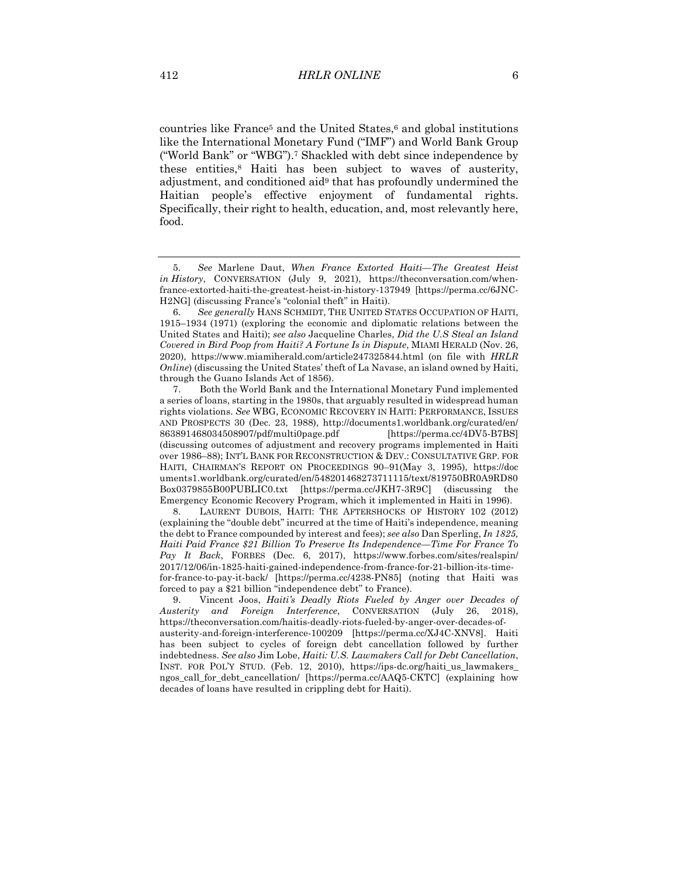countries like France5 and the United States,6 and global institutions like the International Monetary Fund ("IMF") and World Bank Group ("World Bank" or "WBG").7 Shackled with debt since independence by these entities,8 Haiti has been subject to waves of austerity, adjustment, and conditioned aid9 that has profoundly undermined the Haitian people's effective enjoyment of fundamental rights. Specifically, their right to health, education, and, most relevantly here, food.

<sup>5</sup>*. See* Marlene Daut, *When France Extorted Haiti—The Greatest Heist in History*, CONVERSATION (July 9, 2021), https://theconversation.com/whenfrance-extorted-haiti-the-greatest-heist-in-history-137949 [https://perma.cc/6JNC-H2NG] (discussing France's "colonial theft" in Haiti).

<sup>6</sup>*. See generally* HANS SCHMIDT, THE UNITED STATES OCCUPATION OF HAITI, 1915–1934 (1971) (exploring the economic and diplomatic relations between the United States and Haiti); *see also* Jacqueline Charles, *Did the U.S Steal an Island Covered in Bird Poop from Haiti? A Fortune Is in Dispute*, MIAMI HERALD (Nov. 26, 2020), https://www.miamiherald.com/article247325844.html (on file with *HRLR Online*) (discussing the United States' theft of La Navase, an island owned by Haiti, through the Guano Islands Act of 1856).

<sup>7.</sup> Both the World Bank and the International Monetary Fund implemented a series of loans, starting in the 1980s, that arguably resulted in widespread human rights violations. *See* WBG, ECONOMIC RECOVERY IN HAITI: PERFORMANCE, ISSUES AND PROSPECTS 30 (Dec. 23, 1988), http://documents1.worldbank.org/curated/en/ 863891468034508907/pdf/multi0page.pdf [https://perma.cc/4DV5-B7BS] (discussing outcomes of adjustment and recovery programs implemented in Haiti over 1986–88); INT'L BANK FOR RECONSTRUCTION & DEV.: CONSULTATIVE GRP. FOR HAITI, CHAIRMAN'S REPORT ON PROCEEDINGS 90–91(May 3, 1995), https://doc uments1.worldbank.org/curated/en/548201468273711115/text/819750BR0A9RD80 Box0379855B00PUBLIC0.txt [https://perma.cc/JKH7-3R9C] (discussing the Emergency Economic Recovery Program, which it implemented in Haiti in 1996).

<sup>8.</sup> LAURENT DUBOIS, HAITI: THE AFTERSHOCKS OF HISTORY 102 (2012) (explaining the "double debt" incurred at the time of Haiti's independence, meaning the debt to France compounded by interest and fees); *see also* Dan Sperling, *In 1825, Haiti Paid France \$21 Billion To Preserve Its Independence—Time For France To Pay It Back*, FORBES (Dec. 6, 2017), https://www.forbes.com/sites/realspin/ 2017/12/06/in-1825-haiti-gained-independence-from-france-for-21-billion-its-timefor-france-to-pay-it-back/ [https://perma.cc/4238-PN85] (noting that Haiti was forced to pay a \$21 billion "independence debt" to France).

<sup>9.</sup> Vincent Joos, *Haiti's Deadly Riots Fueled by Anger over Decades of Austerity and Foreign Interference*, CONVERSATION (July 26, 2018), https://theconversation.com/haitis-deadly-riots-fueled-by-anger-over-decades-ofausterity-and-foreign-interference-100209 [https://perma.cc/XJ4C-XNV8]. Haiti has been subject to cycles of foreign debt cancellation followed by further indebtedness. *See also* Jim Lobe, *Haiti: U.S. Lawmakers Call for Debt Cancellation*, INST. FOR POL'Y STUD. (Feb. 12, 2010), https://ips-dc.org/haiti\_us\_lawmakers\_ ngos\_call\_for\_debt\_cancellation/ [https://perma.cc/AAQ5-CKTC] (explaining how decades of loans have resulted in crippling debt for Haiti).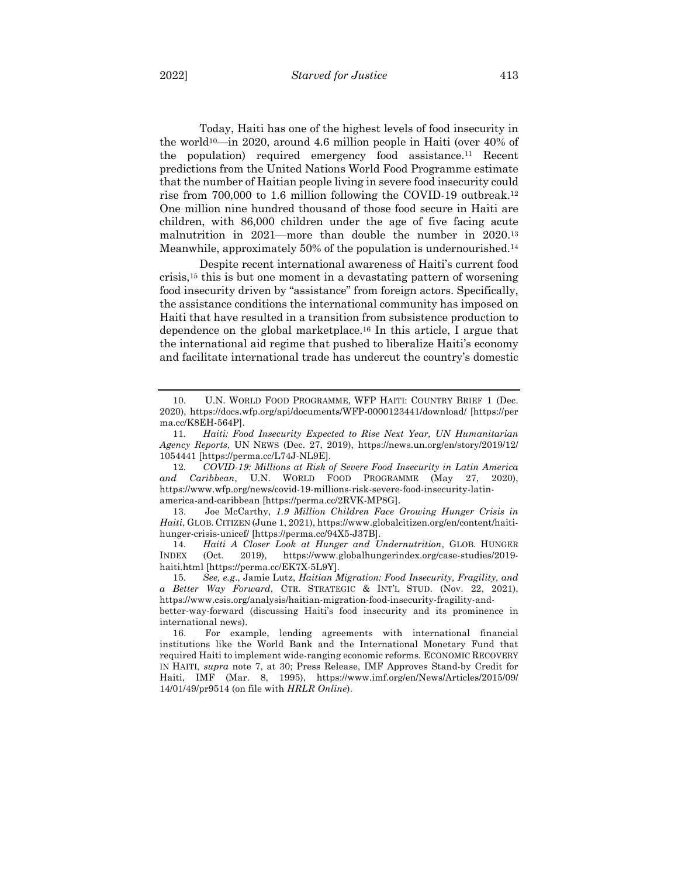Today, Haiti has one of the highest levels of food insecurity in the world<sup>10</sup>—in 2020, around 4.6 million people in Haiti (over  $40\%$  of the population) required emergency food assistance.11 Recent predictions from the United Nations World Food Programme estimate that the number of Haitian people living in severe food insecurity could rise from 700,000 to 1.6 million following the COVID-19 outbreak.12 One million nine hundred thousand of those food secure in Haiti are children, with 86,000 children under the age of five facing acute malnutrition in 2021—more than double the number in 2020.13 Meanwhile, approximately 50% of the population is undernourished.14

Despite recent international awareness of Haiti's current food crisis,15 this is but one moment in a devastating pattern of worsening food insecurity driven by "assistance" from foreign actors. Specifically, the assistance conditions the international community has imposed on Haiti that have resulted in a transition from subsistence production to dependence on the global marketplace.16 In this article, I argue that the international aid regime that pushed to liberalize Haiti's economy and facilitate international trade has undercut the country's domestic

<sup>10.</sup> U.N. WORLD FOOD PROGRAMME, WFP HAITI: COUNTRY BRIEF 1 (Dec. 2020), https://docs.wfp.org/api/documents/WFP-0000123441/download/ [https://per ma.cc/K8EH-564P].

<sup>11</sup>*. Haiti: Food Insecurity Expected to Rise Next Year, UN Humanitarian Agency Reports*, UN NEWS (Dec. 27, 2019), https://news.un.org/en/story/2019/12/ 1054441 [https://perma.cc/L74J-NL9E].

<sup>12</sup>*. COVID-19: Millions at Risk of Severe Food Insecurity in Latin America and Caribbean*, U.N. WORLD FOOD PROGRAMME (May 27, 2020), https://www.wfp.org/news/covid-19-millions-risk-severe-food-insecurity-latinamerica-and-caribbean [https://perma.cc/2RVK-MP8G].

<sup>13.</sup> Joe McCarthy, *1.9 Million Children Face Growing Hunger Crisis in Haiti*, GLOB. CITIZEN (June 1, 2021), https://www.globalcitizen.org/en/content/haitihunger-crisis-unicef/ [https://perma.cc/94X5-J37B].

<sup>14</sup>*. Haiti A Closer Look at Hunger and Undernutrition*, GLOB. HUNGER INDEX (Oct. 2019), https://www.globalhungerindex.org/case-studies/2019 haiti.html [https://perma.cc/EK7X-5L9Y].

<sup>15</sup>*. See, e.g*., Jamie Lutz, *Haitian Migration: Food Insecurity, Fragility, and a Better Way Forward*, CTR. STRATEGIC & INT'L STUD. (Nov. 22, 2021), https://www.csis.org/analysis/haitian-migration-food-insecurity-fragility-and-

better-way-forward (discussing Haiti's food insecurity and its prominence in international news).

<sup>16.</sup> For example, lending agreements with international financial institutions like the World Bank and the International Monetary Fund that required Haiti to implement wide-ranging economic reforms. ECONOMIC RECOVERY IN HAITI, *supra* note 7, at 30; Press Release, IMF Approves Stand-by Credit for Haiti, IMF (Mar. 8, 1995), https://www.imf.org/en/News/Articles/2015/09/ 14/01/49/pr9514 (on file with *HRLR Online*).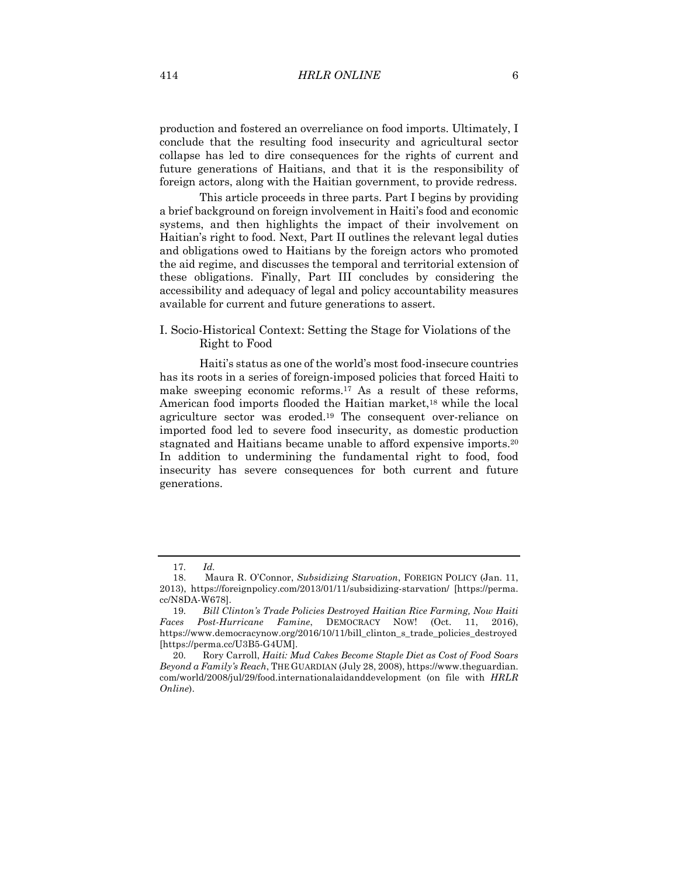production and fostered an overreliance on food imports. Ultimately, I conclude that the resulting food insecurity and agricultural sector collapse has led to dire consequences for the rights of current and future generations of Haitians, and that it is the responsibility of foreign actors, along with the Haitian government, to provide redress.

This article proceeds in three parts. Part I begins by providing a brief background on foreign involvement in Haiti's food and economic systems, and then highlights the impact of their involvement on Haitian's right to food. Next, Part II outlines the relevant legal duties and obligations owed to Haitians by the foreign actors who promoted the aid regime, and discusses the temporal and territorial extension of these obligations. Finally, Part III concludes by considering the accessibility and adequacy of legal and policy accountability measures available for current and future generations to assert.

# I. Socio-Historical Context: Setting the Stage for Violations of the Right to Food

Haiti's status as one of the world's most food-insecure countries has its roots in a series of foreign-imposed policies that forced Haiti to make sweeping economic reforms.17 As a result of these reforms, American food imports flooded the Haitian market,<sup>18</sup> while the local agriculture sector was eroded.19 The consequent over-reliance on imported food led to severe food insecurity, as domestic production stagnated and Haitians became unable to afford expensive imports.20 In addition to undermining the fundamental right to food, food insecurity has severe consequences for both current and future generations.

<sup>17</sup>*. Id.*

<sup>18.</sup> Maura R. O'Connor, *Subsidizing Starvation*, FOREIGN POLICY (Jan. 11, 2013), https://foreignpolicy.com/2013/01/11/subsidizing-starvation/ [https://perma. cc/N8DA-W678].

<sup>19</sup>*. Bill Clinton's Trade Policies Destroyed Haitian Rice Farming, Now Haiti Faces Post-Hurricane Famine*, DEMOCRACY NOW! (Oct. 11, 2016), https://www.democracynow.org/2016/10/11/bill\_clinton\_s\_trade\_policies\_destroyed [https://perma.cc/U3B5-G4UM].

<sup>20</sup>*.* Rory Carroll, *Haiti: Mud Cakes Become Staple Diet as Cost of Food Soars Beyond a Family's Reach*, THE GUARDIAN (July 28, 2008), https://www.theguardian. com/world/2008/jul/29/food.internationalaidanddevelopment (on file with *HRLR Online*).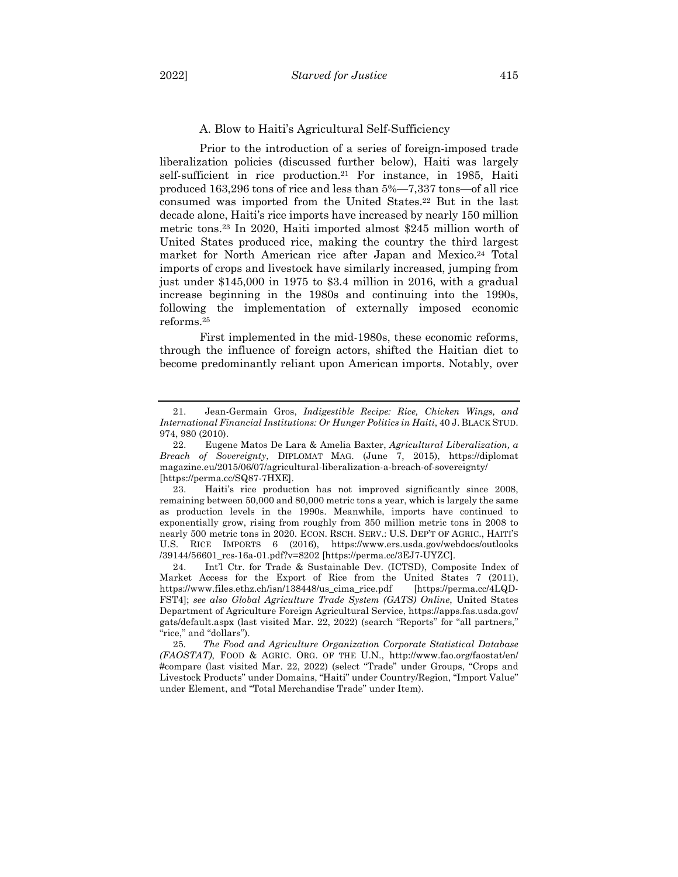#### A. Blow to Haiti's Agricultural Self-Sufficiency

Prior to the introduction of a series of foreign-imposed trade liberalization policies (discussed further below), Haiti was largely self-sufficient in rice production.21 For instance, in 1985, Haiti produced 163,296 tons of rice and less than 5%—7,337 tons—of all rice consumed was imported from the United States.22 But in the last decade alone, Haiti's rice imports have increased by nearly 150 million metric tons.23 In 2020, Haiti imported almost \$245 million worth of United States produced rice, making the country the third largest market for North American rice after Japan and Mexico.24 Total imports of crops and livestock have similarly increased, jumping from just under \$145,000 in 1975 to \$3.4 million in 2016, with a gradual increase beginning in the 1980s and continuing into the 1990s, following the implementation of externally imposed economic reforms.25

First implemented in the mid-1980s, these economic reforms, through the influence of foreign actors, shifted the Haitian diet to become predominantly reliant upon American imports. Notably, over

<sup>21.</sup> Jean-Germain Gros, *Indigestible Recipe: Rice, Chicken Wings, and International Financial Institutions: Or Hunger Politics in Haiti*, 40 J. BLACK STUD. 974, 980 (2010).

<sup>22.</sup> Eugene Matos De Lara & Amelia Baxter, *Agricultural Liberalization, a Breach of Sovereignty*, DIPLOMAT MAG. (June 7, 2015), https://diplomat magazine.eu/2015/06/07/agricultural-liberalization-a-breach-of-sovereignty/ [https://perma.cc/SQ87-7HXE].

<sup>23.</sup> Haiti's rice production has not improved significantly since 2008, remaining between 50,000 and 80,000 metric tons a year, which is largely the same as production levels in the 1990s. Meanwhile, imports have continued to exponentially grow, rising from roughly from 350 million metric tons in 2008 to nearly 500 metric tons in 2020. ECON. RSCH. SERV.: U.S. DEP'T OF AGRIC., HAITI'S U.S. RICE IMPORTS 6 (2016), https://www.ers.usda.gov/webdocs/outlooks /39144/56601\_rcs-16a-01.pdf?v=8202 [https://perma.cc/3EJ7-UYZC].

<sup>24.</sup> Int'l Ctr. for Trade & Sustainable Dev. (ICTSD), Composite Index of Market Access for the Export of Rice from the United States 7 (2011), https://www.files.ethz.ch/isn/138448/us\_cima\_rice.pdf [https://perma.cc/4LQD-FST4]; *see also Global Agriculture Trade System (GATS) Online*, United States Department of Agriculture Foreign Agricultural Service, https://apps.fas.usda.gov/ gats/default.aspx (last visited Mar. 22, 2022) (search "Reports" for "all partners," "rice," and "dollars").

<sup>25</sup>*. The Food and Agriculture Organization Corporate Statistical Database (FAOSTAT)*, FOOD & AGRIC. ORG. OF THE U.N., http://www.fao.org/faostat/en/ #compare (last visited Mar. 22, 2022) (select "Trade" under Groups, "Crops and Livestock Products" under Domains, "Haiti" under Country/Region, "Import Value" under Element, and "Total Merchandise Trade" under Item).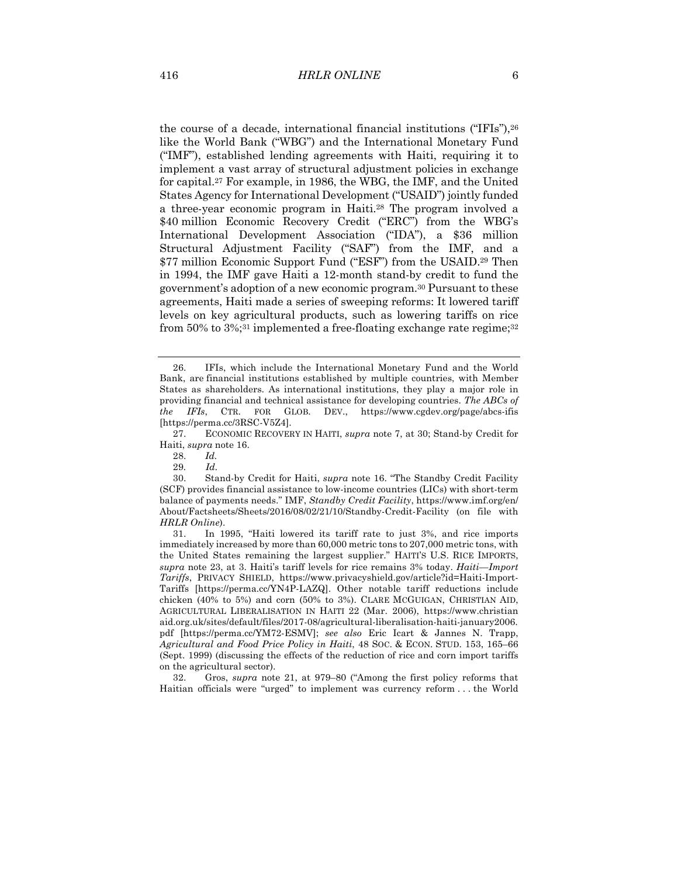the course of a decade, international financial institutions ("IFIs"),26 like the World Bank ("WBG") and the International Monetary Fund ("IMF"), established lending agreements with Haiti, requiring it to implement a vast array of structural adjustment policies in exchange for capital.27 For example, in 1986, the WBG, the IMF, and the United States Agency for International Development ("USAID") jointly funded a three-year economic program in Haiti.28 The program involved a \$40 million Economic Recovery Credit ("ERC") from the WBG's International Development Association ("IDA"), a \$36 million Structural Adjustment Facility ("SAF") from the IMF, and a \$77 million Economic Support Fund ("ESF") from the USAID.29 Then in 1994, the IMF gave Haiti a 12-month stand-by credit to fund the government's adoption of a new economic program.30 Pursuant to these agreements, Haiti made a series of sweeping reforms: It lowered tariff levels on key agricultural products, such as lowering tariffs on rice from 50% to 3%;<sup>31</sup> implemented a free-floating exchange rate regime;<sup>32</sup>

28. *Id.*

29*. Id.*

32. Gros, *supra* note 21, at 979–80 ("Among the first policy reforms that Haitian officials were "urged" to implement was currency reform . . . the World

<sup>26.</sup> IFIs, which include the International Monetary Fund and the World Bank, are financial institutions established by multiple countries, with Member States as shareholders. As international institutions, they play a major role in providing financial and technical assistance for developing countries. *The ABCs of the IFIs*, CTR. FOR GLOB. DEV., https://www.cgdev.org/page/abcs-ifis [https://perma.cc/3RSC-V5Z4].

<sup>27.</sup> ECONOMIC RECOVERY IN HAITI, *supra* note 7, at 30; Stand-by Credit for Haiti, *supra* note 16.

<sup>30.</sup> Stand-by Credit for Haiti, *supra* note 16. "The Standby Credit Facility (SCF) provides financial assistance to low-income countries (LICs) with short-term balance of payments needs." IMF, *Standby Credit Facility*, https://www.imf.org/en/ About/Factsheets/Sheets/2016/08/02/21/10/Standby-Credit-Facility (on file with *HRLR Online*).

<sup>31.</sup> In 1995, "Haiti lowered its tariff rate to just 3%, and rice imports immediately increased by more than 60,000 metric tons to 207,000 metric tons, with the United States remaining the largest supplier." HAITI'S U.S. RICE IMPORTS, *supra* note 23, at 3. Haiti's tariff levels for rice remains 3% today. *Haiti—Import Tariffs*, PRIVACY SHIELD, https://www.privacyshield.gov/article?id=Haiti-Import-Tariffs [https://perma.cc/YN4P-LAZQ]. Other notable tariff reductions include chicken (40% to 5%) and corn (50% to 3%). CLARE MCGUIGAN, CHRISTIAN AID, AGRICULTURAL LIBERALISATION IN HAITI 22 (Mar. 2006), https://www.christian aid.org.uk/sites/default/files/2017-08/agricultural-liberalisation-haiti-january2006. pdf [https://perma.cc/YM72-ESMV]; *see also* Eric Icart & Jannes N. Trapp, *Agricultural and Food Price Policy in Haiti*, 48 SOC. & ECON. STUD. 153, 165–66 (Sept. 1999) (discussing the effects of the reduction of rice and corn import tariffs on the agricultural sector).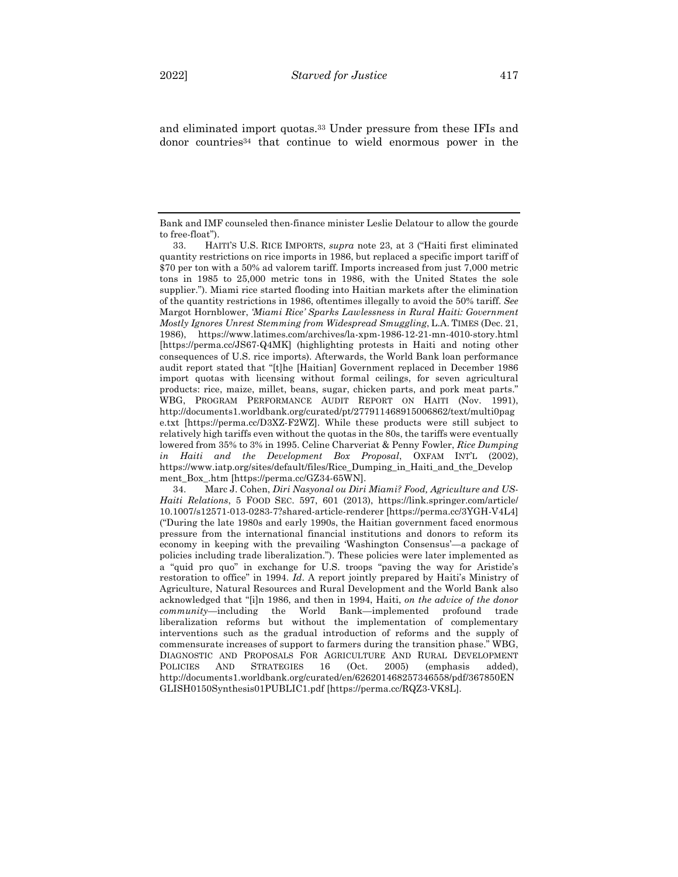and eliminated import quotas.33 Under pressure from these IFIs and donor countries34 that continue to wield enormous power in the

Bank and IMF counseled then-finance minister Leslie Delatour to allow the gourde to free-float").

<sup>33.</sup> HAITI'S U.S. RICE IMPORTS, *supra* note 23, at 3 ("Haiti first eliminated quantity restrictions on rice imports in 1986, but replaced a specific import tariff of \$70 per ton with a 50% ad valorem tariff. Imports increased from just 7,000 metric tons in 1985 to 25,000 metric tons in 1986, with the United States the sole supplier."). Miami rice started flooding into Haitian markets after the elimination of the quantity restrictions in 1986, oftentimes illegally to avoid the 50% tariff. *See*  Margot Hornblower, *'Miami Rice' Sparks Lawlessness in Rural Haiti: Government Mostly Ignores Unrest Stemming from Widespread Smuggling*, L.A. TIMES (Dec. 21, 1986), https://www.latimes.com/archives/la-xpm-1986-12-21-mn-4010-story.html [https://perma.cc/JS67-Q4MK] (highlighting protests in Haiti and noting other consequences of U.S. rice imports). Afterwards, the World Bank loan performance audit report stated that "[t]he [Haitian] Government replaced in December 1986 import quotas with licensing without formal ceilings, for seven agricultural products: rice, maize, millet, beans, sugar, chicken parts, and pork meat parts." WBG, PROGRAM PERFORMANCE AUDIT REPORT ON HAITI (Nov. 1991), http://documents1.worldbank.org/curated/pt/277911468915006862/text/multi0pag e.txt [https://perma.cc/D3XZ-F2WZ]. While these products were still subject to relatively high tariffs even without the quotas in the 80s, the tariffs were eventually lowered from 35% to 3% in 1995. Celine Charveriat & Penny Fowler, *Rice Dumping in Haiti and the Development Box Proposal*, OXFAM INT'L (2002), https://www.iatp.org/sites/default/files/Rice\_Dumping\_in\_Haiti\_and\_the\_Develop ment\_Box\_.htm [https://perma.cc/GZ34-65WN].

<sup>34.</sup> Marc J. Cohen, *Diri Nasyonal ou Diri Miami? Food, Agriculture and US-Haiti Relations*, 5 FOOD SEC. 597, 601 (2013), https://link.springer.com/article/ 10.1007/s12571-013-0283-7?shared-article-renderer [https://perma.cc/3YGH-V4L4] ("During the late 1980s and early 1990s, the Haitian government faced enormous pressure from the international financial institutions and donors to reform its economy in keeping with the prevailing 'Washington Consensus'—a package of policies including trade liberalization."). These policies were later implemented as a "quid pro quo" in exchange for U.S. troops "paving the way for Aristide's restoration to office" in 1994. *Id*. A report jointly prepared by Haiti's Ministry of Agriculture, Natural Resources and Rural Development and the World Bank also acknowledged that "[i]n 1986, and then in 1994, Haiti, *on the advice of the donor community—*including the World Bank—implemented profound trade liberalization reforms but without the implementation of complementary interventions such as the gradual introduction of reforms and the supply of commensurate increases of support to farmers during the transition phase." WBG, DIAGNOSTIC AND PROPOSALS FOR AGRICULTURE AND RURAL DEVELOPMENT POLICIES AND STRATEGIES 16 (Oct. 2005) (emphasis added), http://documents1.worldbank.org/curated/en/626201468257346558/pdf/367850EN GLISH0150Synthesis01PUBLIC1.pdf [https://perma.cc/RQZ3-VK8L].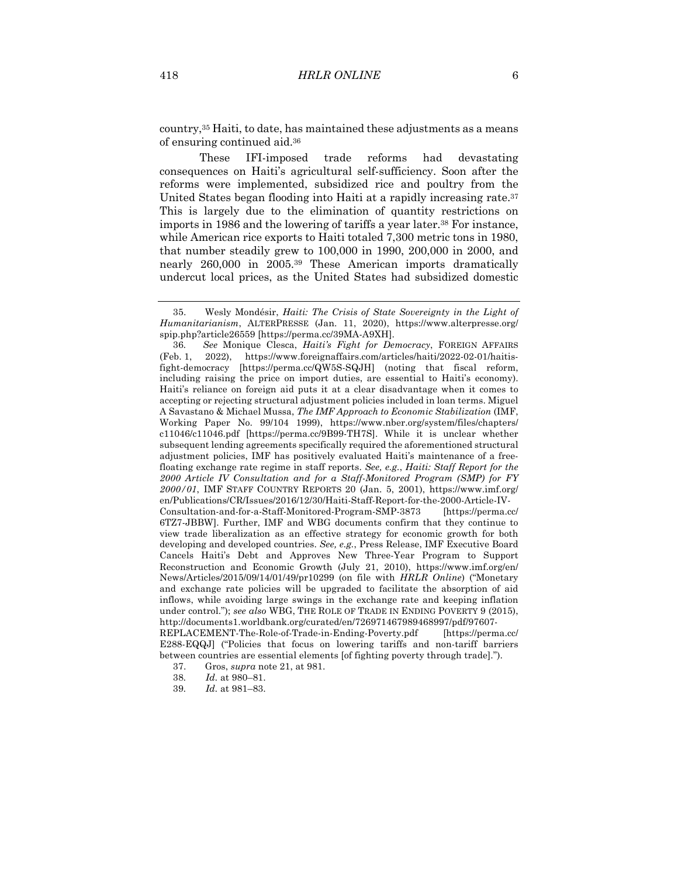country,35 Haiti, to date, has maintained these adjustments as a means of ensuring continued aid.36

These IFI-imposed trade reforms had devastating consequences on Haiti's agricultural self-sufficiency. Soon after the reforms were implemented, subsidized rice and poultry from the United States began flooding into Haiti at a rapidly increasing rate.<sup>37</sup> This is largely due to the elimination of quantity restrictions on imports in 1986 and the lowering of tariffs a year later.<sup>38</sup> For instance, while American rice exports to Haiti totaled 7,300 metric tons in 1980, that number steadily grew to 100,000 in 1990, 200,000 in 2000, and nearly 260,000 in 2005.39 These American imports dramatically undercut local prices, as the United States had subsidized domestic

36*. See* Monique Clesca, *Haiti's Fight for Democracy*, FOREIGN AFFAIRS (Feb. 1, 2022), https://www.foreignaffairs.com/articles/haiti/2022-02-01/haitisfight-democracy [https://perma.cc/QW5S-SQJH] (noting that fiscal reform, including raising the price on import duties, are essential to Haiti's economy). Haiti's reliance on foreign aid puts it at a clear disadvantage when it comes to accepting or rejecting structural adjustment policies included in loan terms. Miguel A Savastano & Michael Mussa, *The IMF Approach to Economic Stabilization* (IMF, Working Paper No. 99/104 1999), https://www.nber.org/system/files/chapters/ c11046/c11046.pdf [https://perma.cc/9B99-TH7S]. While it is unclear whether subsequent lending agreements specifically required the aforementioned structural adjustment policies, IMF has positively evaluated Haiti's maintenance of a freefloating exchange rate regime in staff reports. *See, e.g.*, *Haiti: Staff Report for the 2000 Article IV Consultation and for a Staff-Monitored Program (SMP) for FY 2000/01*, IMF STAFF COUNTRY REPORTS 20 (Jan. 5, 2001), https://www.imf.org/ en/Publications/CR/Issues/2016/12/30/Haiti-Staff-Report-for-the-2000-Article-IV-Consultation-and-for-a-Staff-Monitored-Program-SMP-3873 [https://perma.cc/ 6TZ7-JBBW]. Further, IMF and WBG documents confirm that they continue to view trade liberalization as an effective strategy for economic growth for both developing and developed countries. *See, e.g.*, Press Release, IMF Executive Board Cancels Haiti's Debt and Approves New Three-Year Program to Support Reconstruction and Economic Growth (July 21, 2010), https://www.imf.org/en/ News/Articles/2015/09/14/01/49/pr10299 (on file with *HRLR Online*) ("Monetary and exchange rate policies will be upgraded to facilitate the absorption of aid inflows, while avoiding large swings in the exchange rate and keeping inflation under control."); *see also* WBG, THE ROLE OF TRADE IN ENDING POVERTY 9 (2015), http://documents1.worldbank.org/curated/en/726971467989468997/pdf/97607- REPLACEMENT-The-Role-of-Trade-in-Ending-Poverty.pdf [https://perma.cc/ E288-EQQJ] ("Policies that focus on lowering tariffs and non-tariff barriers between countries are essential elements [of fighting poverty through trade].").

<sup>35.</sup> Wesly Mondésir, *Haiti: The Crisis of State Sovereignty in the Light of Humanitarianism*, ALTERPRESSE (Jan. 11, 2020), https://www.alterpresse.org/ spip.php?article26559 [https://perma.cc/39MA-A9XH].

<sup>37.</sup> Gros, *supra* note 21, at 981.

<sup>38</sup>*. Id.* at 980–81.

<sup>39</sup>*. Id.* at 981–83.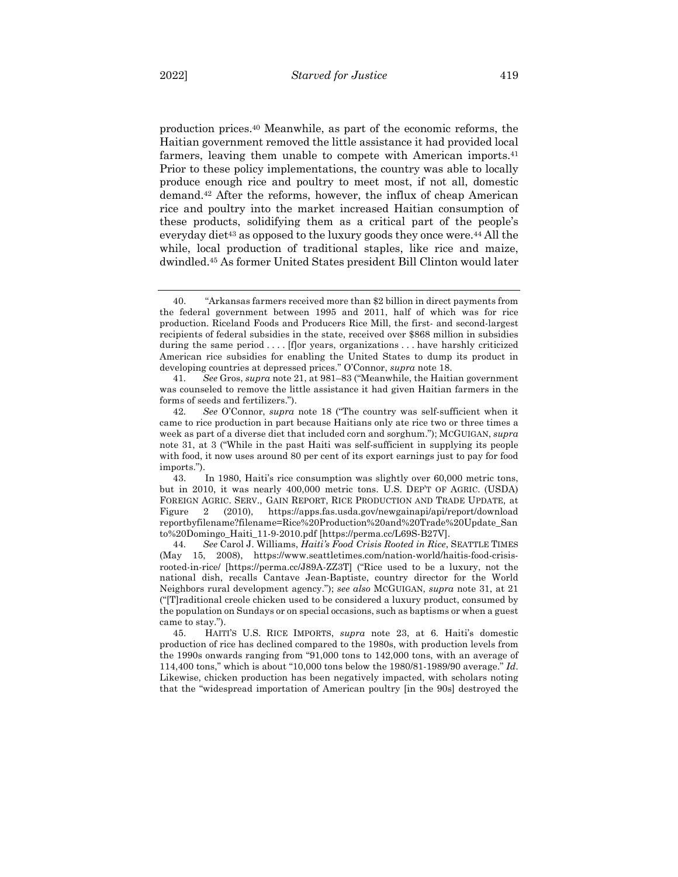production prices.40 Meanwhile, as part of the economic reforms, the Haitian government removed the little assistance it had provided local farmers, leaving them unable to compete with American imports.<sup>41</sup> Prior to these policy implementations, the country was able to locally produce enough rice and poultry to meet most, if not all, domestic demand.42 After the reforms, however, the influx of cheap American rice and poultry into the market increased Haitian consumption of these products, solidifying them as a critical part of the people's everyday diet<sup>43</sup> as opposed to the luxury goods they once were.<sup>44</sup> All the while, local production of traditional staples, like rice and maize, dwindled.45 As former United States president Bill Clinton would later

<sup>40.</sup> "Arkansas farmers received more than \$2 billion in direct payments from the federal government between 1995 and 2011, half of which was for rice production. Riceland Foods and Producers Rice Mill, the first- and second-largest recipients of federal subsidies in the state, received over \$868 million in subsidies during the same period . . . . [f]or years, organizations . . . have harshly criticized American rice subsidies for enabling the United States to dump its product in developing countries at depressed prices." O'Connor, *supra* note 18.

<sup>41</sup>*. See* Gros, *supra* note 21, at 981–83 ("Meanwhile, the Haitian government was counseled to remove the little assistance it had given Haitian farmers in the forms of seeds and fertilizers.").

<sup>42</sup>*. See* O'Connor, *supra* note 18 ("The country was self-sufficient when it came to rice production in part because Haitians only ate rice two or three times a week as part of a diverse diet that included corn and sorghum."); MCGUIGAN, *supra* note 31, at 3 ("While in the past Haiti was self-sufficient in supplying its people with food, it now uses around 80 per cent of its export earnings just to pay for food imports.").

<sup>43.</sup> In 1980, Haiti's rice consumption was slightly over 60,000 metric tons, but in 2010, it was nearly 400,000 metric tons. U.S. DEP'T OF AGRIC. (USDA) FOREIGN AGRIC. SERV., GAIN REPORT, RICE PRODUCTION AND TRADE UPDATE, at Figure 2 (2010), https://apps.fas.usda.gov/newgainapi/api/report/download reportbyfilename?filename=Rice%20Production%20and%20Trade%20Update\_San to%20Domingo\_Haiti\_11-9-2010.pdf [https://perma.cc/L69S-B27V].

<sup>44</sup>*. See* Carol J. Williams, *Haiti's Food Crisis Rooted in Rice*, SEATTLE TIMES (May 15, 2008), https://www.seattletimes.com/nation-world/haitis-food-crisisrooted-in-rice/ [https://perma.cc/J89A-ZZ3T] ("Rice used to be a luxury, not the national dish, recalls Cantave Jean-Baptiste, country director for the World Neighbors rural development agency."); *see also* MCGUIGAN, *supra* note 31, at 21 ("[T]raditional creole chicken used to be considered a luxury product, consumed by the population on Sundays or on special occasions, such as baptisms or when a guest came to stay.").

<sup>45.</sup> HAITI'S U.S. RICE IMPORTS, *supra* note 23, at 6. Haiti's domestic production of rice has declined compared to the 1980s, with production levels from the 1990s onwards ranging from "91,000 tons to 142,000 tons, with an average of 114,400 tons," which is about "10,000 tons below the 1980/81-1989/90 average." *Id*. Likewise, chicken production has been negatively impacted, with scholars noting that the "widespread importation of American poultry [in the 90s] destroyed the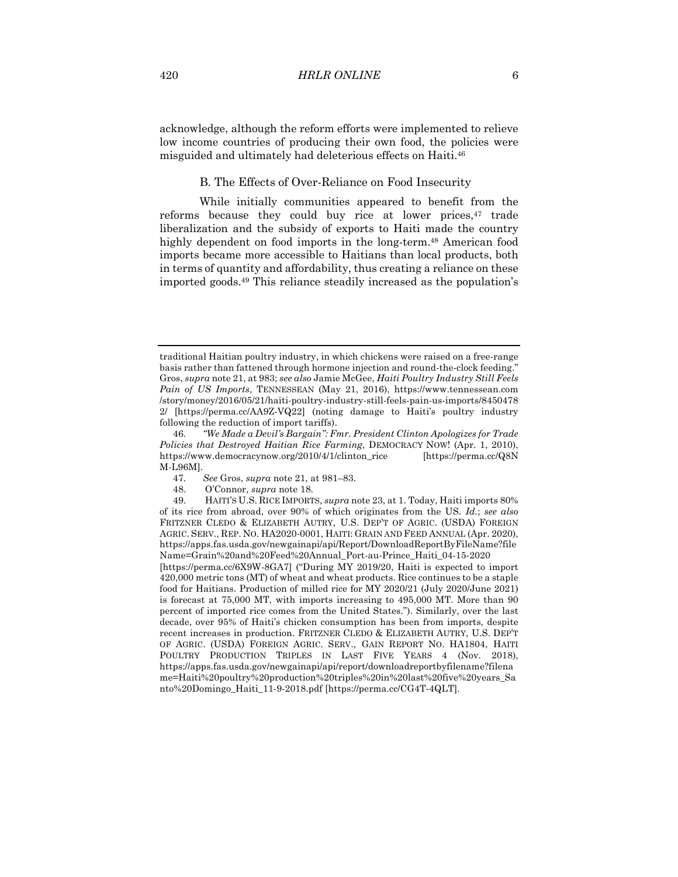acknowledge, although the reform efforts were implemented to relieve low income countries of producing their own food, the policies were misguided and ultimately had deleterious effects on Haiti.46

## B. The Effects of Over-Reliance on Food Insecurity

While initially communities appeared to benefit from the reforms because they could buy rice at lower prices,<sup>47</sup> trade liberalization and the subsidy of exports to Haiti made the country highly dependent on food imports in the long-term.<sup>48</sup> American food imports became more accessible to Haitians than local products, both in terms of quantity and affordability, thus creating a reliance on these imported goods.49 This reliance steadily increased as the population's

traditional Haitian poultry industry, in which chickens were raised on a free-range basis rather than fattened through hormone injection and round-the-clock feeding." Gros, *supra* note 21, at 983; *see also* Jamie McGee, *Haiti Poultry Industry Still Feels Pain of US Imports*, TENNESSEAN (May 21, 2016), https://www.tennessean.com /story/money/2016/05/21/haiti-poultry-industry-still-feels-pain-us-imports/8450478 2/ [https://perma.cc/AA9Z-VQ22] (noting damage to Haiti's poultry industry following the reduction of import tariffs).

<sup>46</sup>*. "We Made a Devil's Bargain": Fmr. President Clinton Apologizes for Trade Policies that Destroyed Haitian Rice Farming*, DEMOCRACY NOW! (Apr. 1, 2010), https://www.democracynow.org/2010/4/1/clinton\_rice [https://perma.cc/Q8N M-L96M].

<sup>47</sup>*. See* Gros, *supra* note 21, at 981–83.

<sup>48.</sup> O'Connor, *supra* note 18.

<sup>49.</sup> HAITI'S U.S. RICE IMPORTS, *supra* note 23, at 1. Today, Haiti imports 80% of its rice from abroad, over 90% of which originates from the US. *Id.*; *see also* FRITZNER CLEDO & ELIZABETH AUTRY, U.S. DEP'T OF AGRIC. (USDA) FOREIGN AGRIC. SERV., REP. NO. HA2020-0001, HAITI: GRAIN AND FEED ANNUAL (Apr. 2020), https://apps.fas.usda.gov/newgainapi/api/Report/DownloadReportByFileName?file Name=Grain%20and%20Feed%20Annual\_Port-au-Prince\_Haiti\_04-15-2020

<sup>[</sup>https://perma.cc/6X9W-8GA7] ("During MY 2019/20, Haiti is expected to import 420,000 metric tons (MT) of wheat and wheat products. Rice continues to be a staple food for Haitians. Production of milled rice for MY 2020/21 (July 2020/June 2021) is forecast at 75,000 MT, with imports increasing to 495,000 MT. More than 90 percent of imported rice comes from the United States."). Similarly, over the last decade, over 95% of Haiti's chicken consumption has been from imports, despite recent increases in production. FRITZNER CLEDO & ELIZABETH AUTRY, U.S. DEP'T OF AGRIC. (USDA) FOREIGN AGRIC. SERV., GAIN REPORT NO. HA1804, HAITI POULTRY PRODUCTION TRIPLES IN LAST FIVE YEARS 4 (Nov. 2018), https://apps.fas.usda.gov/newgainapi/api/report/downloadreportbyfilename?filena me=Haiti%20poultry%20production%20triples%20in%20last%20five%20years\_Sa nto%20Domingo\_Haiti\_11-9-2018.pdf [https://perma.cc/CG4T-4QLT].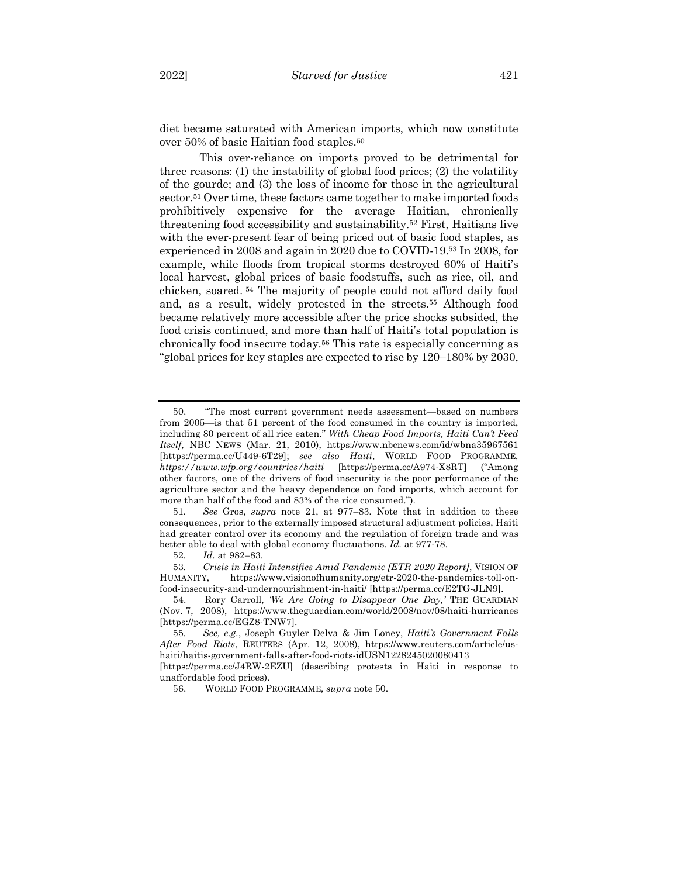diet became saturated with American imports, which now constitute over 50% of basic Haitian food staples.50

This over-reliance on imports proved to be detrimental for three reasons: (1) the instability of global food prices; (2) the volatility of the gourde; and (3) the loss of income for those in the agricultural sector.51 Over time, these factors came together to make imported foods prohibitively expensive for the average Haitian, chronically threatening food accessibility and sustainability.52 First, Haitians live with the ever-present fear of being priced out of basic food staples, as experienced in 2008 and again in 2020 due to COVID-19.53 In 2008, for example, while floods from tropical storms destroyed 60% of Haiti's local harvest, global prices of basic foodstuffs, such as rice, oil, and chicken, soared. <sup>54</sup> The majority of people could not afford daily food and, as a result, widely protested in the streets.55 Although food became relatively more accessible after the price shocks subsided, the food crisis continued, and more than half of Haiti's total population is chronically food insecure today.56 This rate is especially concerning as "global prices for key staples are expected to rise by 120–180% by 2030,

51*. See* Gros, *supra* note 21, at 977–83. Note that in addition to these consequences, prior to the externally imposed structural adjustment policies, Haiti had greater control over its economy and the regulation of foreign trade and was better able to deal with global economy fluctuations. *Id.* at 977-78.

52*. Id.* at 982–83.

56. WORLD FOOD PROGRAMME*, supra* note 50.

<sup>50.</sup> "The most current government needs assessment—based on numbers from 2005—is that 51 percent of the food consumed in the country is imported, including 80 percent of all rice eaten." *With Cheap Food Imports, Haiti Can't Feed Itself*, NBC NEWS (Mar. 21, 2010), https://www.nbcnews.com/id/wbna35967561 [https://perma.cc/U449-6T29]; *see also Haiti*, WORLD FOOD PROGRAMME*, https://www.wfp.org/countries/haiti* [https://perma.cc/A974-X8RT] ("Among other factors, one of the drivers of food insecurity is the poor performance of the agriculture sector and the heavy dependence on food imports, which account for more than half of the food and 83% of the rice consumed.").

<sup>53</sup>*. Crisis in Haiti Intensifies Amid Pandemic [ETR 2020 Report]*, VISION OF HUMANITY, https://www.visionofhumanity.org/etr-2020-the-pandemics-toll-onfood-insecurity-and-undernourishment-in-haiti/ [https://perma.cc/E2TG-JLN9].

<sup>54.</sup> Rory Carroll, *'We Are Going to Disappear One Day,'* THE GUARDIAN (Nov. 7, 2008), https://www.theguardian.com/world/2008/nov/08/haiti-hurricanes [https://perma.cc/EGZ8-TNW7].

<sup>55</sup>*. See, e.g.*, Joseph Guyler Delva & Jim Loney, *Haiti's Government Falls After Food Riots*, REUTERS (Apr. 12, 2008), https://www.reuters.com/article/ushaiti/haitis-government-falls-after-food-riots-idUSN1228245020080413

<sup>[</sup>https://perma.cc/J4RW-2EZU] (describing protests in Haiti in response to unaffordable food prices).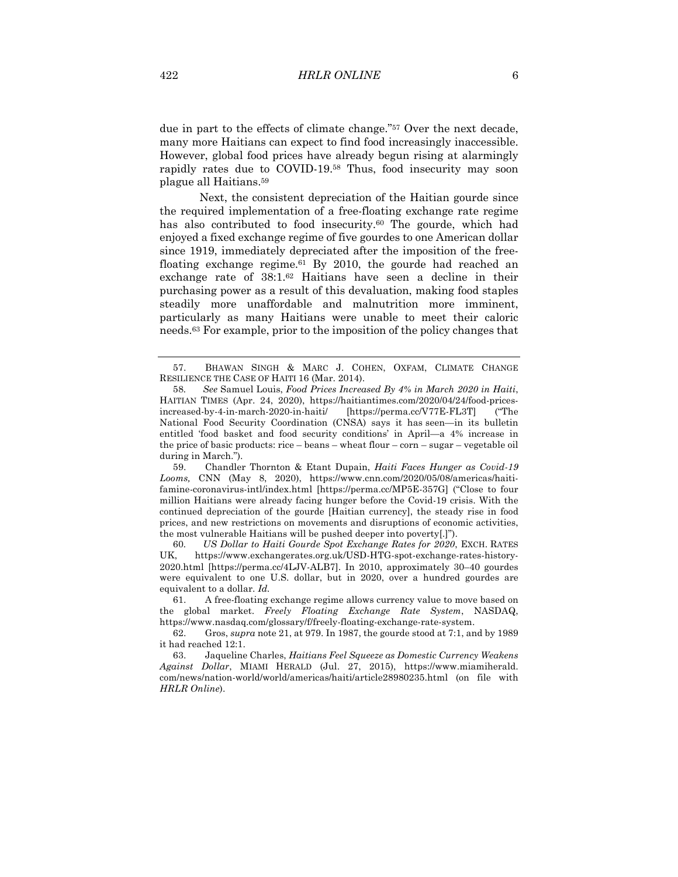due in part to the effects of climate change."57 Over the next decade, many more Haitians can expect to find food increasingly inaccessible. However, global food prices have already begun rising at alarmingly rapidly rates due to COVID-19.58 Thus, food insecurity may soon plague all Haitians.59

Next, the consistent depreciation of the Haitian gourde since the required implementation of a free-floating exchange rate regime has also contributed to food insecurity.<sup>60</sup> The gourde, which had enjoyed a fixed exchange regime of five gourdes to one American dollar since 1919, immediately depreciated after the imposition of the freefloating exchange regime.61 By 2010, the gourde had reached an exchange rate of 38:1.62 Haitians have seen a decline in their purchasing power as a result of this devaluation, making food staples steadily more unaffordable and malnutrition more imminent, particularly as many Haitians were unable to meet their caloric needs.63 For example, prior to the imposition of the policy changes that

60*. US Dollar to Haiti Gourde Spot Exchange Rates for 2020*, EXCH. RATES UK, https://www.exchangerates.org.uk/USD-HTG-spot-exchange-rates-history-2020.html [https://perma.cc/4LJV-ALB7]. In 2010, approximately 30–40 gourdes were equivalent to one U.S. dollar, but in 2020, over a hundred gourdes are equivalent to a dollar. *Id.*

61. A free-floating exchange regime allows currency value to move based on the global market. *Freely Floating Exchange Rate System*, NASDAQ, https://www.nasdaq.com/glossary/f/freely-floating-exchange-rate-system.

62. Gros, *supra* note 21, at 979. In 1987, the gourde stood at 7:1, and by 1989 it had reached 12:1.

63. Jaqueline Charles, *Haitians Feel Squeeze as Domestic Currency Weakens Against Dollar*, MIAMI HERALD (Jul. 27, 2015), https://www.miamiherald. com/news/nation-world/world/americas/haiti/article28980235.html (on file with *HRLR Online*).

<sup>57.</sup> BHAWAN SINGH & MARC J. COHEN, OXFAM, CLIMATE CHANGE RESILIENCE THE CASE OF HAITI 16 (Mar. 2014).

<sup>58</sup>*. See* Samuel Louis, *Food Prices Increased By 4% in March 2020 in Haiti*, HAITIAN TIMES (Apr. 24, 2020), https://haitiantimes.com/2020/04/24/food-pricesincreased-by-4-in-march-2020-in-haiti/ [https://perma.cc/V77E-FL3T] ("The National Food Security Coordination (CNSA) says it has seen—in its bulletin entitled 'food basket and food security conditions' in April—a 4% increase in the price of basic products: rice – beans – wheat flour – corn – sugar – vegetable oil during in March.").

<sup>59.</sup> Chandler Thornton & Etant Dupain, *Haiti Faces Hunger as Covid-19 Looms,* CNN (May 8, 2020), https://www.cnn.com/2020/05/08/americas/haitifamine-coronavirus-intl/index.html [https://perma.cc/MP5E-357G] ("Close to four million Haitians were already facing hunger before the Covid-19 crisis. With the continued depreciation of the gourde [Haitian currency], the steady rise in food prices, and new restrictions on movements and disruptions of economic activities, the most vulnerable Haitians will be pushed deeper into poverty[.]").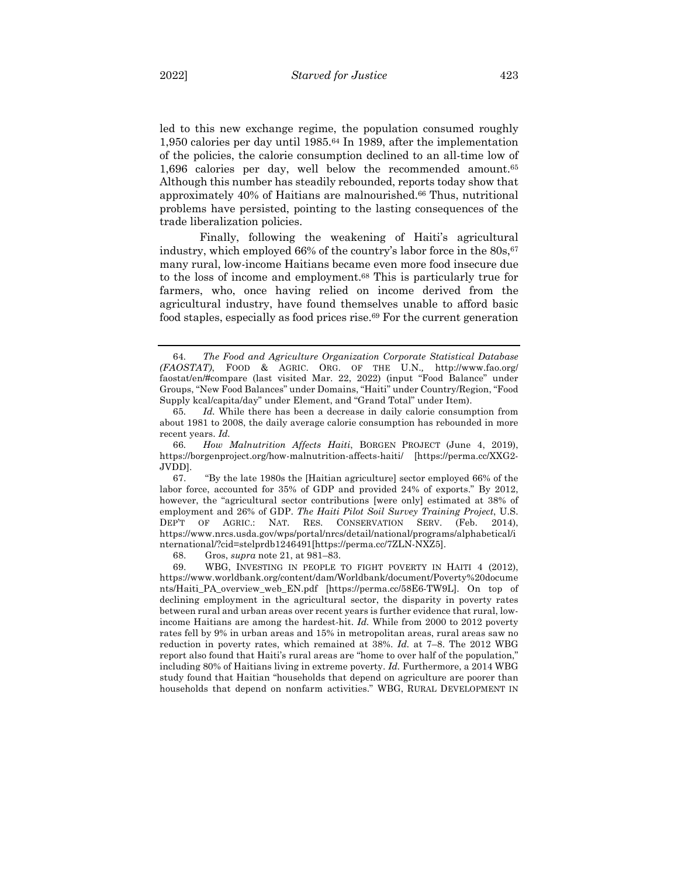led to this new exchange regime, the population consumed roughly 1,950 calories per day until 1985.64 In 1989, after the implementation of the policies, the calorie consumption declined to an all-time low of 1,696 calories per day, well below the recommended amount.65 Although this number has steadily rebounded, reports today show that approximately 40% of Haitians are malnourished.66 Thus, nutritional problems have persisted, pointing to the lasting consequences of the trade liberalization policies.

Finally, following the weakening of Haiti's agricultural industry, which employed  $66\%$  of the country's labor force in the  $80s$ ,  $67$ many rural, low-income Haitians became even more food insecure due to the loss of income and employment.68 This is particularly true for farmers, who, once having relied on income derived from the agricultural industry, have found themselves unable to afford basic food staples, especially as food prices rise.69 For the current generation

68. Gros, *supra* note 21, at 981–83.

69. WBG, INVESTING IN PEOPLE TO FIGHT POVERTY IN HAITI 4 (2012), https://www.worldbank.org/content/dam/Worldbank/document/Poverty%20docume nts/Haiti\_PA\_overview\_web\_EN.pdf [https://perma.cc/58E6-TW9L]. On top of declining employment in the agricultural sector, the disparity in poverty rates between rural and urban areas over recent years is further evidence that rural, lowincome Haitians are among the hardest-hit. *Id.* While from 2000 to 2012 poverty rates fell by 9% in urban areas and 15% in metropolitan areas, rural areas saw no reduction in poverty rates, which remained at 38%. *Id.* at 7–8. The 2012 WBG report also found that Haiti's rural areas are "home to over half of the population," including 80% of Haitians living in extreme poverty. *Id.* Furthermore, a 2014 WBG study found that Haitian "households that depend on agriculture are poorer than households that depend on nonfarm activities." WBG, RURAL DEVELOPMENT IN

<sup>64</sup>*. The Food and Agriculture Organization Corporate Statistical Database (FAOSTAT)*, FOOD & AGRIC. ORG. OF THE U.N.*,* http://www.fao.org/ faostat/en/#compare (last visited Mar. 22, 2022) (input "Food Balance" under Groups, "New Food Balances" under Domains, "Haiti" under Country/Region, "Food Supply kcal/capita/day" under Element, and "Grand Total" under Item).

<sup>65</sup>*. Id.* While there has been a decrease in daily calorie consumption from about 1981 to 2008, the daily average calorie consumption has rebounded in more recent years. *Id.*

<sup>66</sup>*. How Malnutrition Affects Haiti*, BORGEN PROJECT (June 4, 2019), https://borgenproject.org/how-malnutrition-affects-haiti/ [https://perma.cc/XXG2- JVDD].

<sup>67.</sup> "By the late 1980s the [Haitian agriculture] sector employed 66% of the labor force, accounted for 35% of GDP and provided 24% of exports." By 2012, however, the "agricultural sector contributions [were only] estimated at 38% of employment and 26% of GDP. *The Haiti Pilot Soil Survey Training Project*, U.S. DEP'T OF AGRIC.: NAT. RES. CONSERVATION SERV. (Feb. 2014), https://www.nrcs.usda.gov/wps/portal/nrcs/detail/national/programs/alphabetical/i nternational/?cid=stelprdb1246491[https://perma.cc/7ZLN-NXZ5].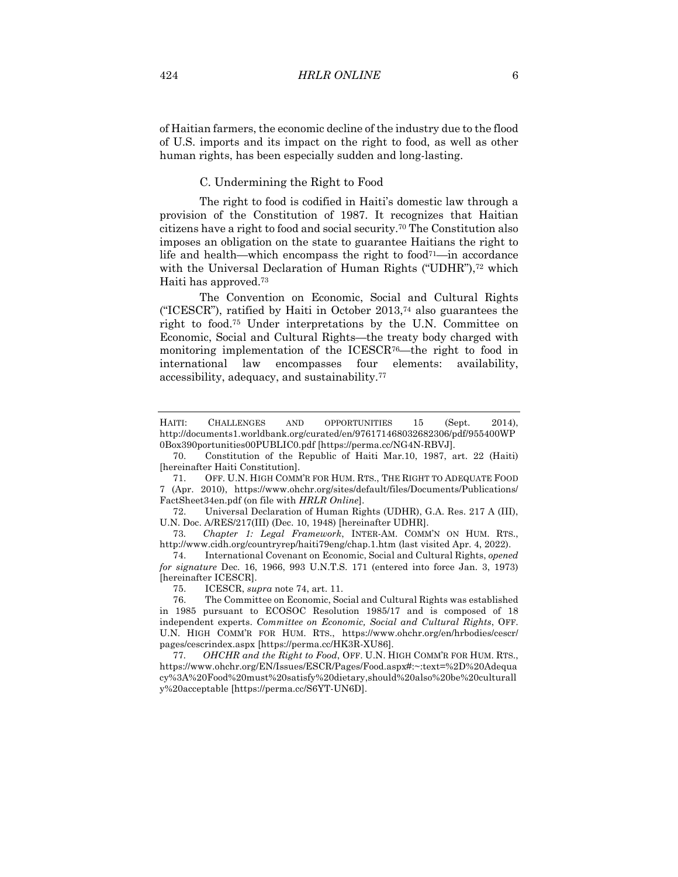of Haitian farmers, the economic decline of the industry due to the flood of U.S. imports and its impact on the right to food, as well as other human rights, has been especially sudden and long-lasting.

C. Undermining the Right to Food

The right to food is codified in Haiti's domestic law through a provision of the Constitution of 1987. It recognizes that Haitian citizens have a right to food and social security.70 The Constitution also imposes an obligation on the state to guarantee Haitians the right to life and health—which encompass the right to food<sup>71</sup>—in accordance with the Universal Declaration of Human Rights ("UDHR"),<sup>72</sup> which Haiti has approved.73

The Convention on Economic, Social and Cultural Rights ("ICESCR"), ratified by Haiti in October 2013,74 also guarantees the right to food.75 Under interpretations by the U.N. Committee on Economic, Social and Cultural Rights—the treaty body charged with monitoring implementation of the ICESCR76—the right to food in international law encompasses four elements: availability, accessibility, adequacy, and sustainability.77

HAITI: CHALLENGES AND OPPORTUNITIES 15 (Sept. 2014), http://documents1.worldbank.org/curated/en/976171468032682306/pdf/955400WP 0Box390portunities00PUBLIC0.pdf [https://perma.cc/NG4N-RBVJ].

<sup>70.</sup> Constitution of the Republic of Haiti Mar.10, 1987, art. 22 (Haiti) [hereinafter Haiti Constitution].

<sup>71.</sup> OFF. U.N. HIGH COMM'R FOR HUM. RTS., THE RIGHT TO ADEQUATE FOOD 7 (Apr. 2010), https://www.ohchr.org/sites/default/files/Documents/Publications/ FactSheet34en.pdf (on file with *HRLR Online*].

<sup>72.</sup> Universal Declaration of Human Rights (UDHR), G.A. Res. 217 A (III), U.N. Doc. A/RES/217(III) (Dec. 10, 1948) [hereinafter UDHR].

<sup>73</sup>*. Chapter 1: Legal Framework*, INTER-AM. COMM'N ON HUM. RTS., http://www.cidh.org/countryrep/haiti79eng/chap.1.htm (last visited Apr. 4, 2022).

<sup>74.</sup> International Covenant on Economic, Social and Cultural Rights, *opened for signature* Dec. 16, 1966, 993 U.N.T.S. 171 (entered into force Jan. 3, 1973) [hereinafter ICESCR].

<sup>75.</sup> ICESCR, *supra* note 74, art. 11.

<sup>76.</sup> The Committee on Economic, Social and Cultural Rights was established in 1985 pursuant to ECOSOC Resolution 1985/17 and is composed of 18 independent experts. *Committee on Economic, Social and Cultural Rights*, OFF. U.N. HIGH COMM'R FOR HUM. RTS., https://www.ohchr.org/en/hrbodies/cescr/ pages/cescrindex.aspx [https://perma.cc/HK3R-XU86].

<sup>77</sup>*. OHCHR and the Right to Food*, OFF. U.N. HIGH COMM'R FOR HUM. RTS., https://www.ohchr.org/EN/Issues/ESCR/Pages/Food.aspx#:~:text=%2D%20Adequa cy%3A%20Food%20must%20satisfy%20dietary,should%20also%20be%20culturall y%20acceptable [https://perma.cc/S6YT-UN6D].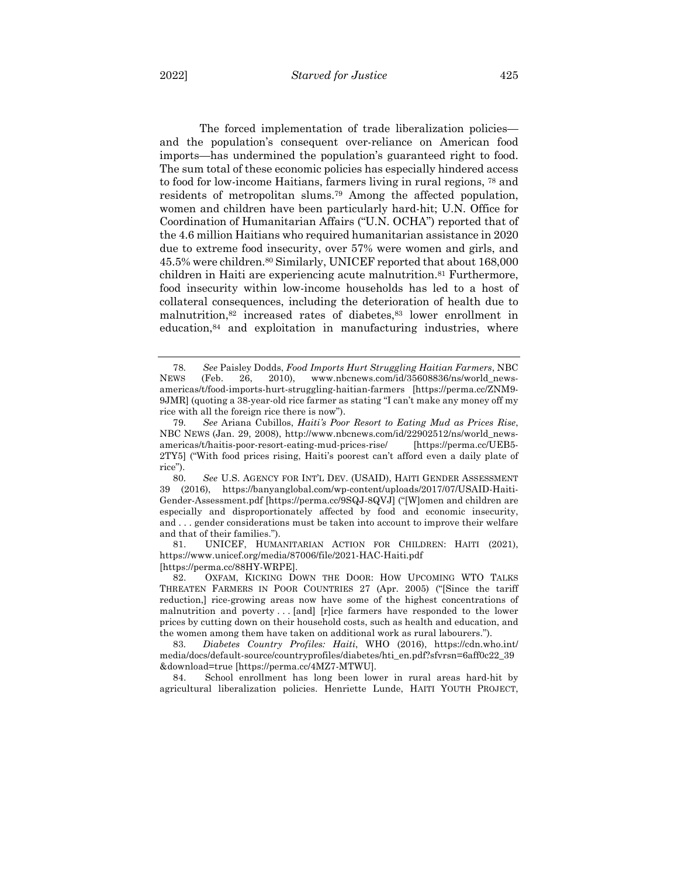The forced implementation of trade liberalization policies and the population's consequent over-reliance on American food imports—has undermined the population's guaranteed right to food. The sum total of these economic policies has especially hindered access to food for low-income Haitians, farmers living in rural regions, 78 and residents of metropolitan slums.79 Among the affected population, women and children have been particularly hard-hit; U.N. Office for Coordination of Humanitarian Affairs ("U.N. OCHA") reported that of the 4.6 million Haitians who required humanitarian assistance in 2020 due to extreme food insecurity, over 57% were women and girls, and 45.5% were children.80 Similarly, UNICEF reported that about 168,000 children in Haiti are experiencing acute malnutrition.81 Furthermore, food insecurity within low-income households has led to a host of collateral consequences, including the deterioration of health due to malnutrition,82 increased rates of diabetes,83 lower enrollment in education,84 and exploitation in manufacturing industries, where

81. UNICEF, HUMANITARIAN ACTION FOR CHILDREN: HAITI (2021), https://www.unicef.org/media/87006/file/2021-HAC-Haiti.pdf [https://perma.cc/88HY-WRPE].

82. OXFAM, KICKING DOWN THE DOOR: HOW UPCOMING WTO TALKS THREATEN FARMERS IN POOR COUNTRIES 27 (Apr. 2005) ("[Since the tariff reduction,] rice-growing areas now have some of the highest concentrations of malnutrition and poverty . . . [and] [r]ice farmers have responded to the lower prices by cutting down on their household costs, such as health and education, and the women among them have taken on additional work as rural labourers.").

83*. Diabetes Country Profiles: Haiti*, WHO (2016), https://cdn.who.int/ media/docs/default-source/countryprofiles/diabetes/hti\_en.pdf?sfvrsn=6aff0c22\_39 &download=true [https://perma.cc/4MZ7-MTWU]*.*

84. School enrollment has long been lower in rural areas hard-hit by agricultural liberalization policies. Henriette Lunde, HAITI YOUTH PROJECT,

<sup>78</sup>*. See* Paisley Dodds, *Food Imports Hurt Struggling Haitian Farmers*, NBC NEWS (Feb. 26, 2010), www.nbcnews.com/id/35608836/ns/world\_newsamericas/t/food-imports-hurt-struggling-haitian-farmers [https://perma.cc/ZNM9- 9JMR] (quoting a 38-year-old rice farmer as stating "I can't make any money off my rice with all the foreign rice there is now").

<sup>79</sup>*. See* Ariana Cubillos, *Haiti's Poor Resort to Eating Mud as Prices Rise*, NBC NEWS (Jan. 29, 2008), http://www.nbcnews.com/id/22902512/ns/world\_newsamericas/t/haitis-poor-resort-eating-mud-prices-rise/ [https://perma.cc/UEB5- 2TY5] ("With food prices rising, Haiti's poorest can't afford even a daily plate of rice").

<sup>80</sup>*. See* U.S. AGENCY FOR INT'L DEV. (USAID), HAITI GENDER ASSESSMENT 39 (2016), https://banyanglobal.com/wp-content/uploads/2017/07/USAID-Haiti-Gender-Assessment.pdf [https://perma.cc/9SQJ-8QVJ] ("[W]omen and children are especially and disproportionately affected by food and economic insecurity, and . . . gender considerations must be taken into account to improve their welfare and that of their families.").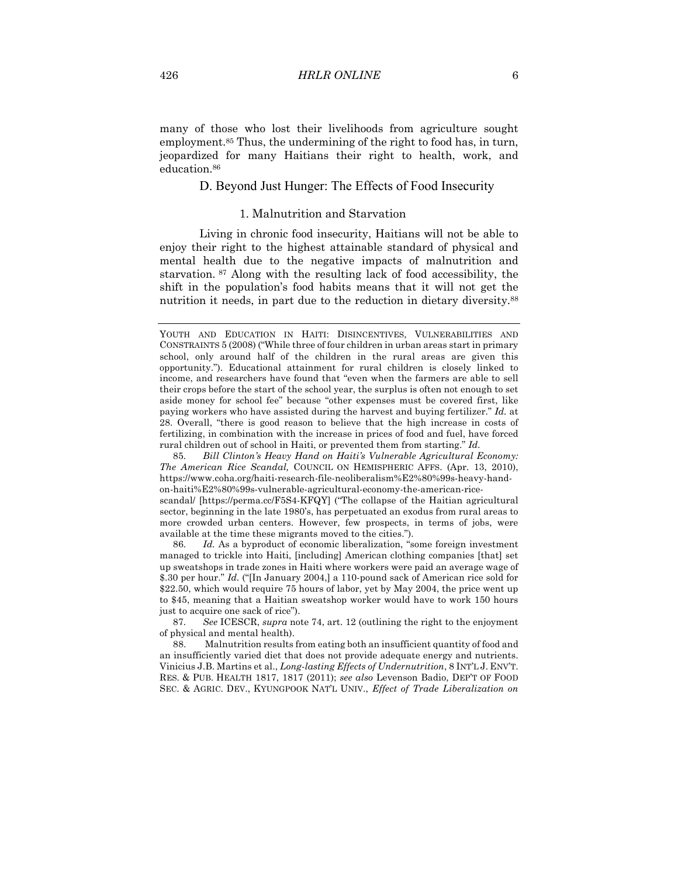many of those who lost their livelihoods from agriculture sought employment.<sup>85</sup> Thus, the undermining of the right to food has, in turn, jeopardized for many Haitians their right to health, work, and education.86

## D. Beyond Just Hunger: The Effects of Food Insecurity

## 1. Malnutrition and Starvation

Living in chronic food insecurity, Haitians will not be able to enjoy their right to the highest attainable standard of physical and mental health due to the negative impacts of malnutrition and starvation. <sup>87</sup> Along with the resulting lack of food accessibility, the shift in the population's food habits means that it will not get the nutrition it needs, in part due to the reduction in dietary diversity.88

85*. Bill Clinton's Heavy Hand on Haiti's Vulnerable Agricultural Economy: The American Rice Scandal,* COUNCIL ON HEMISPHERIC AFFS. (Apr. 13, 2010), https://www.coha.org/haiti-research-file-neoliberalism%E2%80%99s-heavy-handon-haiti%E2%80%99s-vulnerable-agricultural-economy-the-american-rice-

scandal/ [https://perma.cc/F5S4-KFQY] ("The collapse of the Haitian agricultural sector, beginning in the late 1980's, has perpetuated an exodus from rural areas to more crowded urban centers. However, few prospects, in terms of jobs, were available at the time these migrants moved to the cities.").

86*. Id.* As a byproduct of economic liberalization, "some foreign investment managed to trickle into Haiti, [including] American clothing companies [that] set up sweatshops in trade zones in Haiti where workers were paid an average wage of \$.30 per hour." *Id.* ("[In January 2004,] a 110-pound sack of American rice sold for \$22.50, which would require 75 hours of labor, yet by May 2004, the price went up to \$45, meaning that a Haitian sweatshop worker would have to work 150 hours just to acquire one sack of rice").

87*. See* ICESCR, *supra* note 74, art. 12 (outlining the right to the enjoyment of physical and mental health).

88. Malnutrition results from eating both an insufficient quantity of food and an insufficiently varied diet that does not provide adequate energy and nutrients. Vinicius J.B. Martins et al., *Long-lasting Effects of Undernutrition*, 8 INT'L J. ENV'T. RES. & PUB. HEALTH 1817, 1817 (2011); *see also* Levenson Badio, DEP'T OF FOOD SEC. & AGRIC. DEV., KYUNGPOOK NAT'L UNIV., *Effect of Trade Liberalization on* 

YOUTH AND EDUCATION IN HAITI: DISINCENTIVES, VULNERABILITIES AND CONSTRAINTS 5 (2008) ("While three of four children in urban areas start in primary school, only around half of the children in the rural areas are given this opportunity."). Educational attainment for rural children is closely linked to income, and researchers have found that "even when the farmers are able to sell their crops before the start of the school year, the surplus is often not enough to set aside money for school fee" because "other expenses must be covered first, like paying workers who have assisted during the harvest and buying fertilizer." *Id.* at 28. Overall, "there is good reason to believe that the high increase in costs of fertilizing, in combination with the increase in prices of food and fuel, have forced rural children out of school in Haiti, or prevented them from starting." *Id.*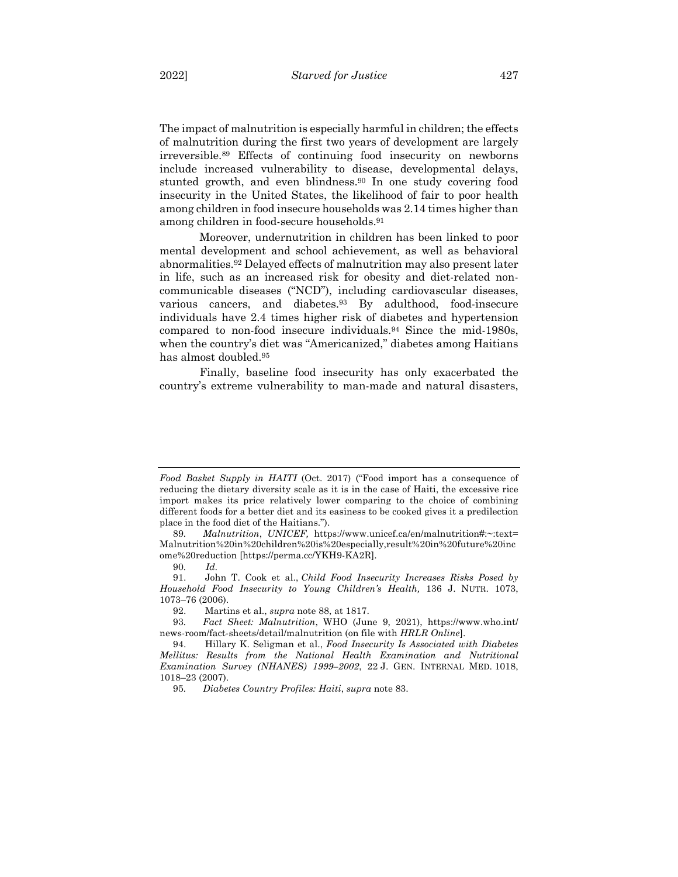The impact of malnutrition is especially harmful in children; the effects of malnutrition during the first two years of development are largely irreversible.89 Effects of continuing food insecurity on newborns include increased vulnerability to disease, developmental delays, stunted growth, and even blindness.90 In one study covering food insecurity in the United States, the likelihood of fair to poor health among children in food insecure households was 2.14 times higher than among children in food-secure households.91

Moreover, undernutrition in children has been linked to poor mental development and school achievement, as well as behavioral abnormalities.92 Delayed effects of malnutrition may also present later in life, such as an increased risk for obesity and diet-related noncommunicable diseases ("NCD"), including cardiovascular diseases, various cancers, and diabetes.93 By adulthood, food-insecure individuals have 2.4 times higher risk of diabetes and hypertension compared to non-food insecure individuals.94 Since the mid-1980s, when the country's diet was "Americanized," diabetes among Haitians has almost doubled.95

Finally, baseline food insecurity has only exacerbated the country's extreme vulnerability to man-made and natural disasters,

*Food Basket Supply in HAITI* (Oct. 2017) ("Food import has a consequence of reducing the dietary diversity scale as it is in the case of Haiti, the excessive rice import makes its price relatively lower comparing to the choice of combining different foods for a better diet and its easiness to be cooked gives it a predilection place in the food diet of the Haitians.").

<sup>89</sup>*. Malnutrition*, *UNICEF,* https://www.unicef.ca/en/malnutrition#:~:text= Malnutrition%20in%20children%20is%20especially,result%20in%20future%20inc ome%20reduction [https://perma.cc/YKH9-KA2R].

<sup>90</sup>*. Id.*

<sup>91.</sup> John T. Cook et al., *Child Food Insecurity Increases Risks Posed by Household Food Insecurity to Young Children's Health,* 136 J. NUTR. 1073, 1073–76 (2006).

<sup>92.</sup> Martins et al., *supra* note 88, at 1817.

<sup>93</sup>*. Fact Sheet: Malnutrition*, WHO (June 9, 2021), https://www.who.int/ news-room/fact-sheets/detail/malnutrition (on file with *HRLR Online*].

<sup>94.</sup> Hillary K. Seligman et al., *Food Insecurity Is Associated with Diabetes Mellitus: Results from the National Health Examination and Nutritional Examination Survey (NHANES) 1999–2002*, 22 J. GEN. INTERNAL MED. 1018, 1018–23 (2007).

<sup>95</sup>*. Diabetes Country Profiles: Haiti*, *supra* note 83.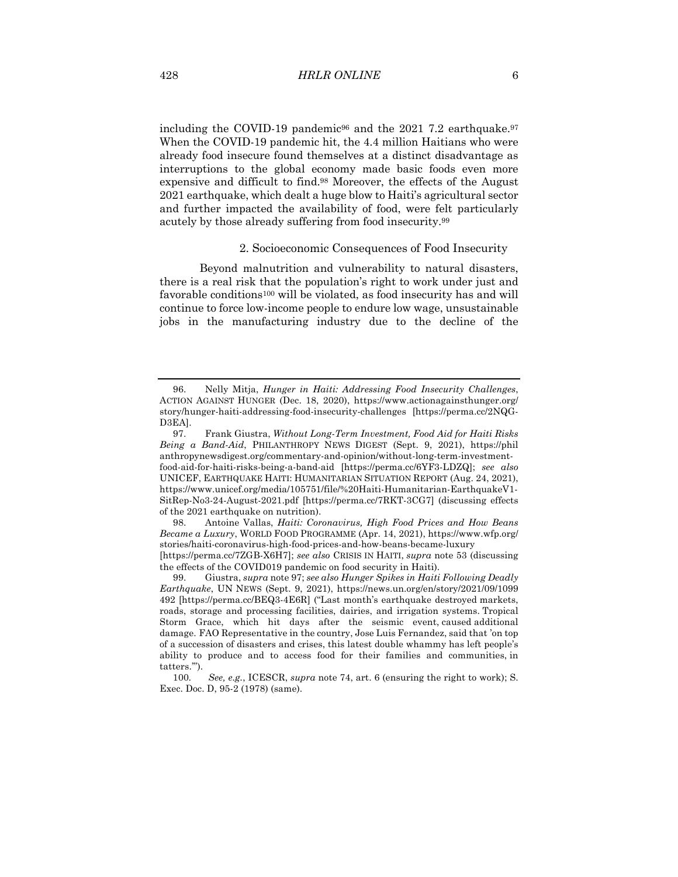including the COVID-19 pandemic<sup>96</sup> and the 2021 7.2 earthquake.<sup>97</sup> When the COVID-19 pandemic hit, the 4.4 million Haitians who were already food insecure found themselves at a distinct disadvantage as interruptions to the global economy made basic foods even more expensive and difficult to find.98 Moreover, the effects of the August 2021 earthquake, which dealt a huge blow to Haiti's agricultural sector and further impacted the availability of food, were felt particularly acutely by those already suffering from food insecurity.99

#### 2. Socioeconomic Consequences of Food Insecurity

Beyond malnutrition and vulnerability to natural disasters, there is a real risk that the population's right to work under just and favorable conditions100 will be violated, as food insecurity has and will continue to force low-income people to endure low wage, unsustainable jobs in the manufacturing industry due to the decline of the

98. Antoine Vallas, *Haiti: Coronavirus, High Food Prices and How Beans Became a Luxury*, WORLD FOOD PROGRAMME (Apr. 14, 2021), https://www.wfp.org/ stories/haiti-coronavirus-high-food-prices-and-how-beans-became-luxury [https://perma.cc/7ZGB-X6H7]; *see also* CRISIS IN HAITI, *supra* note 53 (discussing the effects of the COVID019 pandemic on food security in Haiti).

<sup>96.</sup> Nelly Mitja, *Hunger in Haiti: Addressing Food Insecurity Challenges*, ACTION AGAINST HUNGER (Dec. 18, 2020), https://www.actionagainsthunger.org/ story/hunger-haiti-addressing-food-insecurity-challenges [https://perma.cc/2NQG-D3EA].

<sup>97.</sup> Frank Giustra, *Without Long-Term Investment, Food Aid for Haiti Risks Being a Band-Aid*, PHILANTHROPY NEWS DIGEST (Sept. 9, 2021), https://phil anthropynewsdigest.org/commentary-and-opinion/without-long-term-investmentfood-aid-for-haiti-risks-being-a-band-aid [https://perma.cc/6YF3-LDZQ]; *see also* UNICEF, EARTHQUAKE HAITI: HUMANITARIAN SITUATION REPORT (Aug. 24, 2021), https://www.unicef.org/media/105751/file/%20Haiti-Humanitarian-EarthquakeV1- SitRep-No3-24-August-2021.pdf [https://perma.cc/7RKT-3CG7] (discussing effects of the 2021 earthquake on nutrition).

<sup>99.</sup> Giustra, *supra* note 97; *see also Hunger Spikes in Haiti Following Deadly Earthquake*, UN NEWS (Sept. 9, 2021), https://news.un.org/en/story/2021/09/1099 492 [https://perma.cc/BEQ3-4E6R] ("Last month's earthquake destroyed markets, roads, storage and processing facilities, dairies, and irrigation systems. Tropical Storm Grace, which hit days after the seismic event, caused additional damage. FAO Representative in the country, Jose Luis Fernandez, said that 'on top of a succession of disasters and crises, this latest double whammy has left people's ability to produce and to access food for their families and communities, in tatters.'").

<sup>100</sup>*. See, e.g.*, ICESCR, *supra* note 74, art. 6 (ensuring the right to work); S. Exec. Doc. D, 95-2 (1978) (same).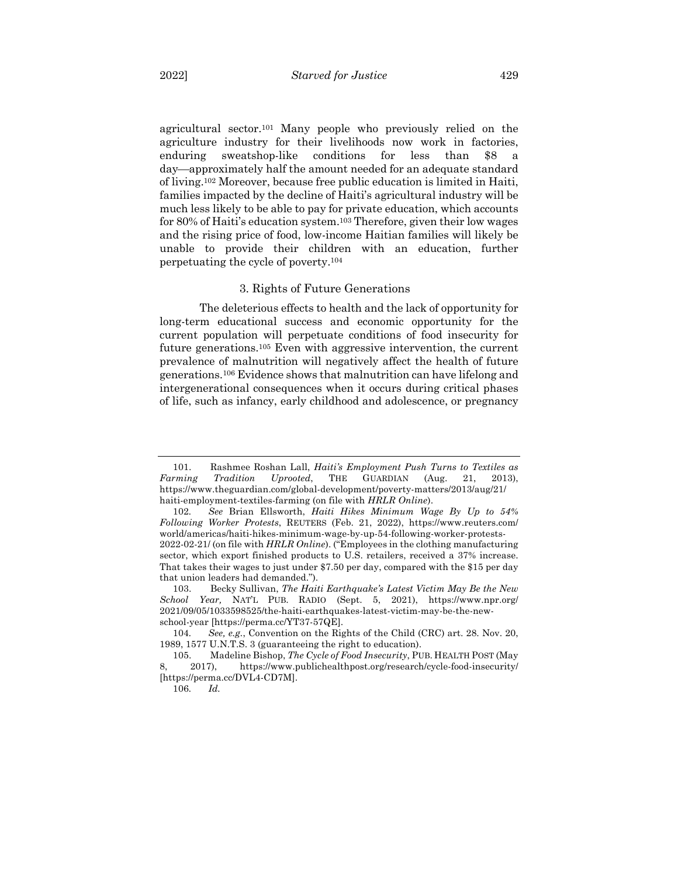agricultural sector.101 Many people who previously relied on the agriculture industry for their livelihoods now work in factories, enduring sweatshop-like conditions for less than \$8 a day¾approximately half the amount needed for an adequate standard of living.102 Moreover, because free public education is limited in Haiti, families impacted by the decline of Haiti's agricultural industry will be much less likely to be able to pay for private education, which accounts for 80% of Haiti's education system.103 Therefore, given their low wages and the rising price of food, low-income Haitian families will likely be unable to provide their children with an education, further perpetuating the cycle of poverty.104

#### 3. Rights of Future Generations

The deleterious effects to health and the lack of opportunity for long-term educational success and economic opportunity for the current population will perpetuate conditions of food insecurity for future generations.105 Even with aggressive intervention, the current prevalence of malnutrition will negatively affect the health of future generations.106 Evidence shows that malnutrition can have lifelong and intergenerational consequences when it occurs during critical phases of life, such as infancy, early childhood and adolescence, or pregnancy

<sup>101.</sup> Rashmee Roshan Lall, *Haiti's Employment Push Turns to Textiles as Farming Tradition Uprooted*, THE GUARDIAN (Aug. 21, 2013), https://www.theguardian.com/global-development/poverty-matters/2013/aug/21/ haiti-employment-textiles-farming (on file with *HRLR Online*).

<sup>102</sup>*. See* Brian Ellsworth, *Haiti Hikes Minimum Wage By Up to 54% Following Worker Protests*, REUTERS (Feb. 21, 2022), https://www.reuters.com/ world/americas/haiti-hikes-minimum-wage-by-up-54-following-worker-protests-2022-02-21/ (on file with *HRLR Online*). ("Employees in the clothing manufacturing sector, which export finished products to U.S. retailers, received a 37% increase. That takes their wages to just under \$7.50 per day, compared with the \$15 per day that union leaders had demanded.").

<sup>103.</sup> Becky Sullivan, *The Haiti Earthquake's Latest Victim May Be the New School Year,* NAT'L PUB. RADIO (Sept. 5, 2021), https://www.npr.org/ 2021/09/05/1033598525/the-haiti-earthquakes-latest-victim-may-be-the-newschool-year [https://perma.cc/YT37-57QE].

<sup>104</sup>*. See, e.g.*, Convention on the Rights of the Child (CRC) art. 28. Nov. 20, 1989, 1577 U.N.T.S. 3 (guaranteeing the right to education).

<sup>105.</sup> Madeline Bishop, *The Cycle of Food Insecurity*, PUB. HEALTH POST (May 8, 2017), https://www.publichealthpost.org/research/cycle-food-insecurity/ [https://perma.cc/DVL4-CD7M].

<sup>106</sup>*. Id.*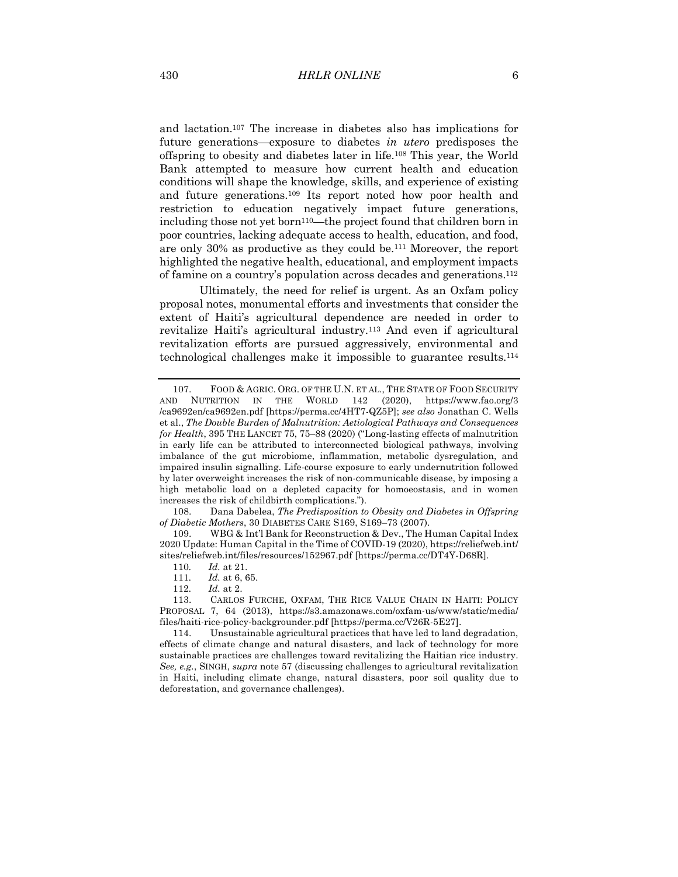and lactation.107 The increase in diabetes also has implications for future generations—exposure to diabetes *in utero* predisposes the offspring to obesity and diabetes later in life.108 This year, the World Bank attempted to measure how current health and education conditions will shape the knowledge, skills, and experience of existing and future generations.109 Its report noted how poor health and restriction to education negatively impact future generations, including those not yet born<sup>110</sup>—the project found that children born in poor countries, lacking adequate access to health, education, and food, are only 30% as productive as they could be.111 Moreover, the report highlighted the negative health, educational, and employment impacts of famine on a country's population across decades and generations.112

Ultimately, the need for relief is urgent. As an Oxfam policy proposal notes, monumental efforts and investments that consider the extent of Haiti's agricultural dependence are needed in order to revitalize Haiti's agricultural industry.113 And even if agricultural revitalization efforts are pursued aggressively, environmental and technological challenges make it impossible to guarantee results.114

108. Dana Dabelea, *The Predisposition to Obesity and Diabetes in Offspring of Diabetic Mothers*, 30 DIABETES CARE S169, S169–73 (2007).

109. WBG & Int'l Bank for Reconstruction & Dev., The Human Capital Index 2020 Update: Human Capital in the Time of COVID-19 (2020), https://reliefweb.int/ sites/reliefweb.int/files/resources/152967.pdf [https://perma.cc/DT4Y-D68R].

113. CARLOS FURCHE, OXFAM, THE RICE VALUE CHAIN IN HAITI: POLICY PROPOSAL 7, 64 (2013), https://s3.amazonaws.com/oxfam-us/www/static/media/ files/haiti-rice-policy-backgrounder.pdf [https://perma.cc/V26R-5E27].

114. Unsustainable agricultural practices that have led to land degradation, effects of climate change and natural disasters, and lack of technology for more sustainable practices are challenges toward revitalizing the Haitian rice industry. *See, e.g.*, SINGH, *supra* note 57 (discussing challenges to agricultural revitalization in Haiti, including climate change, natural disasters, poor soil quality due to deforestation, and governance challenges).

<sup>107.</sup> FOOD & AGRIC. ORG. OF THE U.N. ET AL., THE STATE OF FOOD SECURITY AND NUTRITION IN THE WORLD 142 (2020), https://www.fao.org/3 /ca9692en/ca9692en.pdf [https://perma.cc/4HT7-QZ5P]; *see also* Jonathan C. Wells et al., *The Double Burden of Malnutrition: Aetiological Pathways and Consequences for Health*, 395 THE LANCET 75, 75–88 (2020) ("Long-lasting effects of malnutrition in early life can be attributed to interconnected biological pathways, involving imbalance of the gut microbiome, inflammation, metabolic dysregulation, and impaired insulin signalling. Life-course exposure to early undernutrition followed by later overweight increases the risk of non-communicable disease, by imposing a high metabolic load on a depleted capacity for homoeostasis, and in women increases the risk of childbirth complications.").

<sup>110</sup>*. Id.* at 21.

<sup>111</sup>*. Id.* at 6, 65.

<sup>112</sup>*. Id.* at 2.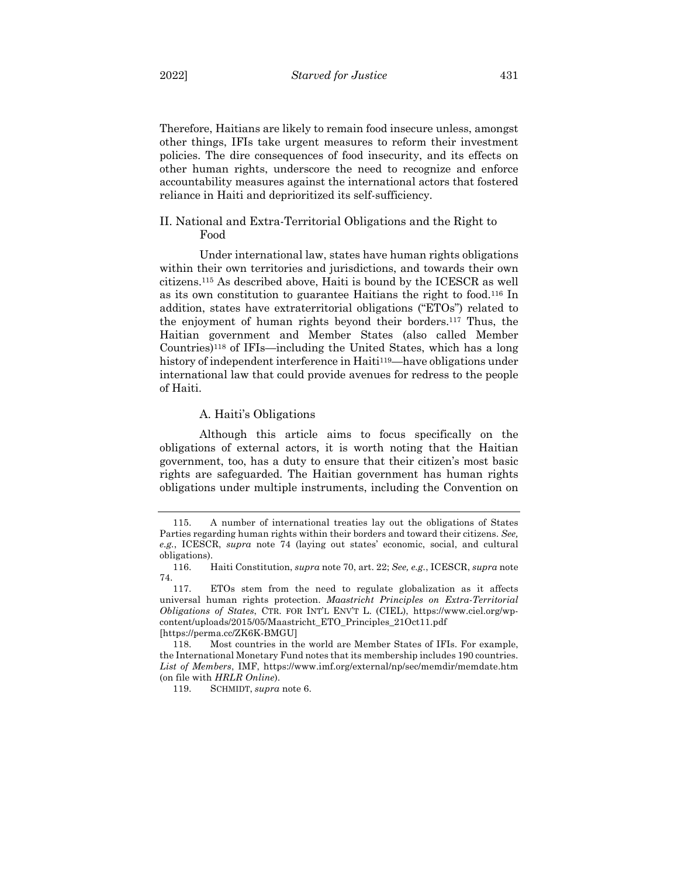Therefore, Haitians are likely to remain food insecure unless, amongst other things, IFIs take urgent measures to reform their investment policies. The dire consequences of food insecurity, and its effects on other human rights, underscore the need to recognize and enforce accountability measures against the international actors that fostered reliance in Haiti and deprioritized its self-sufficiency.

# II. National and Extra-Territorial Obligations and the Right to Food

Under international law, states have human rights obligations within their own territories and jurisdictions, and towards their own citizens.115 As described above, Haiti is bound by the ICESCR as well as its own constitution to guarantee Haitians the right to food.116 In addition, states have extraterritorial obligations ("ETOs") related to the enjoyment of human rights beyond their borders.117 Thus, the Haitian government and Member States (also called Member Countries)118 of IFIs—including the United States, which has a long history of independent interference in Haiti<sup>119</sup>—have obligations under international law that could provide avenues for redress to the people of Haiti.

#### A. Haiti's Obligations

Although this article aims to focus specifically on the obligations of external actors, it is worth noting that the Haitian government, too, has a duty to ensure that their citizen's most basic rights are safeguarded. The Haitian government has human rights obligations under multiple instruments, including the Convention on

119. SCHMIDT, *supra* note 6.

<sup>115.</sup> A number of international treaties lay out the obligations of States Parties regarding human rights within their borders and toward their citizens. *See, e.g.*, ICESCR, *supra* note 74 (laying out states' economic, social, and cultural obligations).

<sup>116.</sup> Haiti Constitution, *supra* note 70, art. 22; *See, e.g.*, ICESCR, *supra* note 74.

<sup>117.</sup> ETOs stem from the need to regulate globalization as it affects universal human rights protection. *Maastricht Principles on Extra-Territorial Obligations of States*, CTR. FOR INT'L ENV'T L. (CIEL), https://www.ciel.org/wpcontent/uploads/2015/05/Maastricht\_ETO\_Principles\_21Oct11.pdf [https://perma.cc/ZK6K-BMGU]

<sup>118.</sup> Most countries in the world are Member States of IFIs. For example, the International Monetary Fund notes that its membership includes 190 countries. *List of Members*, IMF, https://www.imf.org/external/np/sec/memdir/memdate.htm (on file with *HRLR Online*).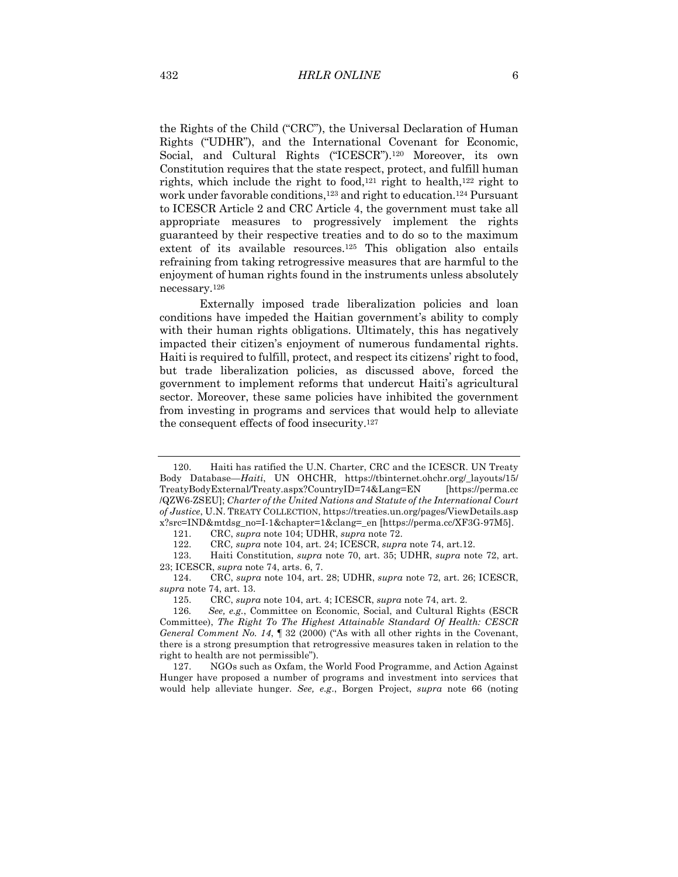the Rights of the Child ("CRC"), the Universal Declaration of Human Rights ("UDHR"), and the International Covenant for Economic, Social, and Cultural Rights ("ICESCR").120 Moreover, its own Constitution requires that the state respect, protect, and fulfill human rights, which include the right to food,121 right to health,122 right to work under favorable conditions,123 and right to education.124 Pursuant to ICESCR Article 2 and CRC Article 4, the government must take all appropriate measures to progressively implement the rights guaranteed by their respective treaties and to do so to the maximum extent of its available resources.<sup>125</sup> This obligation also entails refraining from taking retrogressive measures that are harmful to the enjoyment of human rights found in the instruments unless absolutely necessary.126

Externally imposed trade liberalization policies and loan conditions have impeded the Haitian government's ability to comply with their human rights obligations. Ultimately, this has negatively impacted their citizen's enjoyment of numerous fundamental rights. Haiti is required to fulfill, protect, and respect its citizens' right to food, but trade liberalization policies, as discussed above, forced the government to implement reforms that undercut Haiti's agricultural sector. Moreover, these same policies have inhibited the government from investing in programs and services that would help to alleviate the consequent effects of food insecurity.127

<sup>120.</sup> Haiti has ratified the U.N. Charter, CRC and the ICESCR. UN Treaty Body Database*—Haiti*, UN OHCHR, https://tbinternet.ohchr.org/\_layouts/15/ TreatyBodyExternal/Treaty.aspx?CountryID=74&Lang=EN [https://perma.cc /QZW6-ZSEU]; *Charter of the United Nations and Statute of the International Court of Justice*, U.N. TREATY COLLECTION, https://treaties.un.org/pages/ViewDetails.asp x?src=IND&mtdsg\_no=I-1&chapter=1&clang=\_en [https://perma.cc/XF3G-97M5].

<sup>121.</sup> CRC, *supra* note 104; UDHR, *supra* note 72.

<sup>122.</sup> CRC*, supra* note 104, art. 24; ICESCR, *supra* note 74, art.12.

<sup>123.</sup> Haiti Constitution, *supra* note 70, art. 35; UDHR, *supra* note 72, art. 23; ICESCR, *supra* note 74, arts. 6, 7.

<sup>124.</sup> CRC, *supra* note 104, art. 28; UDHR, *supra* note 72, art. 26; ICESCR, *supra* note 74, art. 13.

<sup>125.</sup> CRC, *supra* note 104, art. 4; ICESCR, *supra* note 74, art. 2.

<sup>126</sup>*. See, e.g.*, Committee on Economic, Social, and Cultural Rights (ESCR Committee), *The Right To The Highest Attainable Standard Of Health: CESCR General Comment No. 14*, ¶ 32 (2000) ("As with all other rights in the Covenant, there is a strong presumption that retrogressive measures taken in relation to the right to health are not permissible").

<sup>127.</sup> NGOs such as Oxfam, the World Food Programme, and Action Against Hunger have proposed a number of programs and investment into services that would help alleviate hunger. *See, e.g*., Borgen Project, *supra* note 66 (noting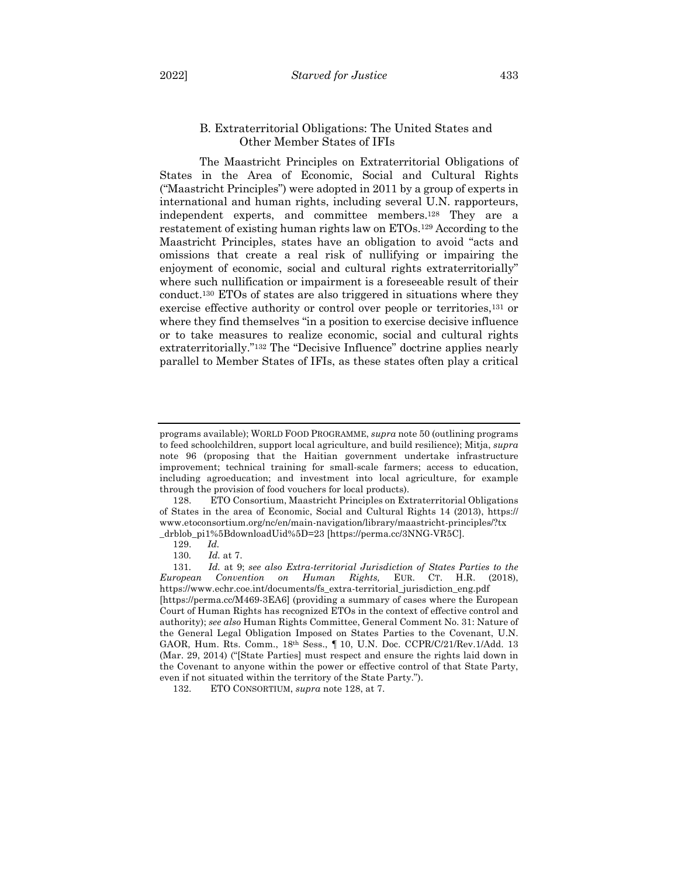## B. Extraterritorial Obligations: The United States and Other Member States of IFIs

The Maastricht Principles on Extraterritorial Obligations of States in the Area of Economic, Social and Cultural Rights ("Maastricht Principles") were adopted in 2011 by a group of experts in international and human rights, including several U.N. rapporteurs, independent experts, and committee members.128 They are a restatement of existing human rights law on ETOs.129 According to the Maastricht Principles, states have an obligation to avoid "acts and omissions that create a real risk of nullifying or impairing the enjoyment of economic, social and cultural rights extraterritorially" where such nullification or impairment is a foreseeable result of their conduct.130 ETOs of states are also triggered in situations where they exercise effective authority or control over people or territories,131 or where they find themselves "in a position to exercise decisive influence or to take measures to realize economic, social and cultural rights extraterritorially."132 The "Decisive Influence" doctrine applies nearly parallel to Member States of IFIs, as these states often play a critical

programs available); WORLD FOOD PROGRAMME, *supra* note 50 (outlining programs to feed schoolchildren, support local agriculture, and build resilience); Mitja, *supra* note 96 (proposing that the Haitian government undertake infrastructure improvement; technical training for small-scale farmers; access to education, including agroeducation; and investment into local agriculture, for example through the provision of food vouchers for local products).

<sup>128.</sup> ETO Consortium, Maastricht Principles on Extraterritorial Obligations of States in the area of Economic, Social and Cultural Rights 14 (2013), https:// www.etoconsortium.org/nc/en/main-navigation/library/maastricht-principles/?tx \_drblob\_pi1%5BdownloadUid%5D=23 [https://perma.cc/3NNG-VR5C].

<sup>129.</sup> *Id.*

<sup>130</sup>*. Id.* at 7.

<sup>131</sup>*. Id.* at 9; *see also Extra-territorial Jurisdiction of States Parties to the European Convention on Human Rights,* EUR. CT. H.R. (2018), https://www.echr.coe.int/documents/fs\_extra-territorial\_jurisdiction\_eng.pdf [https://perma.cc/M469-3EA6] (providing a summary of cases where the European Court of Human Rights has recognized ETOs in the context of effective control and authority); *see also* Human Rights Committee, General Comment No. 31: Nature of the General Legal Obligation Imposed on States Parties to the Covenant, U.N. GAOR, Hum. Rts. Comm., 18th Sess., ¶ 10, U.N. Doc. CCPR/C/21/Rev.1/Add. 13 (Mar. 29, 2014) ("[State Parties] must respect and ensure the rights laid down in the Covenant to anyone within the power or effective control of that State Party, even if not situated within the territory of the State Party.").

<sup>132.</sup> ETO CONSORTIUM, *supra* note 128, at 7.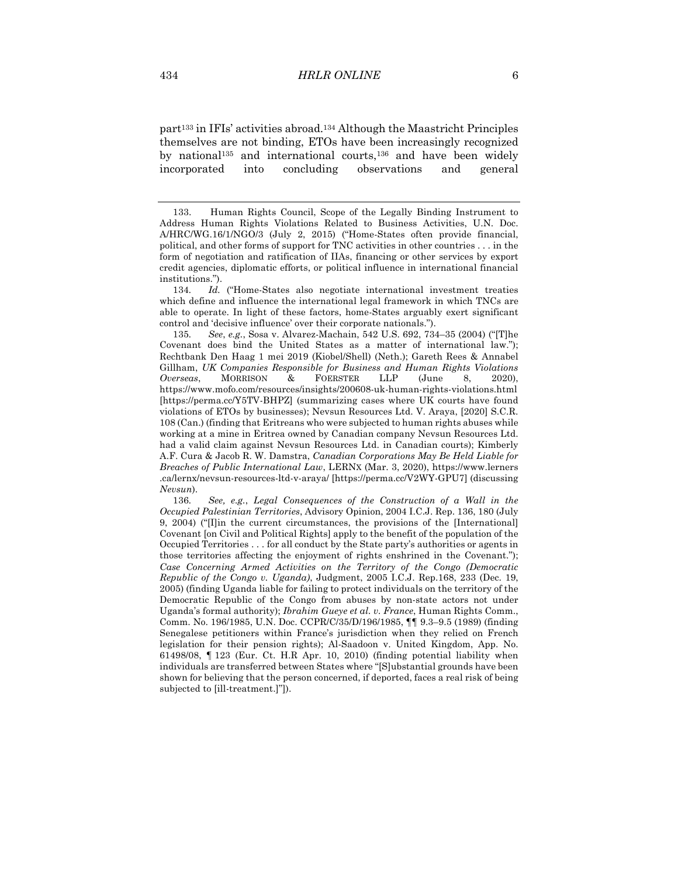part133 in IFIs' activities abroad.134 Although the Maastricht Principles themselves are not binding, ETOs have been increasingly recognized by national<sup>135</sup> and international courts,<sup>136</sup> and have been widely incorporated into concluding observations and general

134*. Id.* ("Home-States also negotiate international investment treaties which define and influence the international legal framework in which TNCs are able to operate. In light of these factors, home-States arguably exert significant control and 'decisive influence' over their corporate nationals.").

135*. See*, *e.g.*, Sosa v. Alvarez-Machain, 542 U.S. 692, 734–35 (2004) ("[T]he Covenant does bind the United States as a matter of international law."); Rechtbank Den Haag 1 mei 2019 (Kiobel/Shell) (Neth.); Gareth Rees & Annabel Gillham, *UK Companies Responsible for Business and Human Rights Violations Overseas*, MORRISON & FOERSTER LLP (June 8, 2020), https://www.mofo.com/resources/insights/200608-uk-human-rights-violations.html [https://perma.cc/Y5TV-BHPZ] (summarizing cases where UK courts have found violations of ETOs by businesses); Nevsun Resources Ltd. V. Araya, [2020] S.C.R. 108 (Can.) (finding that Eritreans who were subjected to human rights abuses while working at a mine in Eritrea owned by Canadian company Nevsun Resources Ltd. had a valid claim against Nevsun Resources Ltd. in Canadian courts); Kimberly A.F. Cura & Jacob R. W. Damstra, *Canadian Corporations May Be Held Liable for Breaches of Public International Law*, LERNX (Mar. 3, 2020), https://www.lerners .ca/lernx/nevsun-resources-ltd-v-araya/ [https://perma.cc/V2WY-GPU7] (discussing *Nevsun*).

136*. See, e.g.*, *Legal Consequences of the Construction of a Wall in the Occupied Palestinian Territories*, Advisory Opinion, 2004 I.C.J. Rep. 136, 180 (July 9, 2004) ("[I]in the current circumstances, the provisions of the [International] Covenant [on Civil and Political Rights] apply to the benefit of the population of the Occupied Territories . . . for all conduct by the State party's authorities or agents in those territories affecting the enjoyment of rights enshrined in the Covenant."); *Case Concerning Armed Activities on the Territory of the Congo (Democratic Republic of the Congo v. Uganda)*, Judgment, 2005 I.C.J. Rep.168, 233 (Dec. 19, 2005) (finding Uganda liable for failing to protect individuals on the territory of the Democratic Republic of the Congo from abuses by non-state actors not under Uganda's formal authority); *Ibrahim Gueye et al. v. France*, Human Rights Comm., Comm. No. 196/1985, U.N. Doc. CCPR/C/35/D/196/1985, ¶¶ 9.3–9.5 (1989) (finding Senegalese petitioners within France's jurisdiction when they relied on French legislation for their pension rights); Al-Saadoon v. United Kingdom, App. No. 61498/08, ¶ 123 (Eur. Ct. H.R Apr. 10, 2010) (finding potential liability when individuals are transferred between States where "[S]ubstantial grounds have been shown for believing that the person concerned, if deported, faces a real risk of being subjected to [ill-treatment.]"]).

<sup>133.</sup> Human Rights Council, Scope of the Legally Binding Instrument to Address Human Rights Violations Related to Business Activities, U.N. Doc. A/HRC/WG.16/1/NGO/3 (July 2, 2015) ("Home-States often provide financial, political, and other forms of support for TNC activities in other countries . . . in the form of negotiation and ratification of IIAs, financing or other services by export credit agencies, diplomatic efforts, or political influence in international financial institutions.").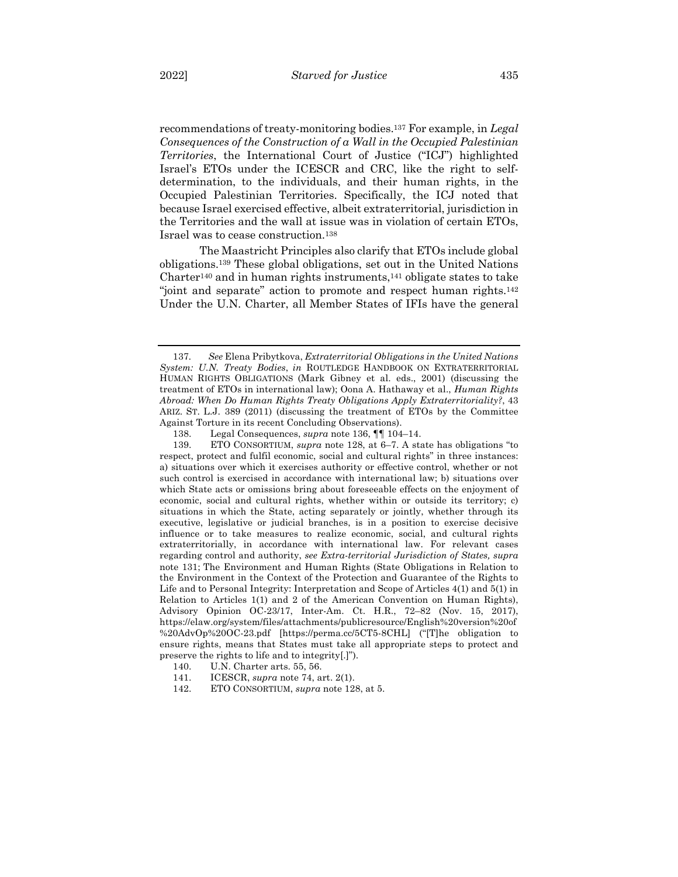recommendations of treaty-monitoring bodies.137 For example, in *Legal Consequences of the Construction of a Wall in the Occupied Palestinian Territories*, the International Court of Justice ("ICJ") highlighted Israel's ETOs under the ICESCR and CRC, like the right to selfdetermination, to the individuals, and their human rights, in the Occupied Palestinian Territories. Specifically, the ICJ noted that because Israel exercised effective, albeit extraterritorial, jurisdiction in the Territories and the wall at issue was in violation of certain ETOs, Israel was to cease construction.138

The Maastricht Principles also clarify that ETOs include global obligations.139 These global obligations, set out in the United Nations Charter<sup>140</sup> and in human rights instruments,<sup>141</sup> obligate states to take "joint and separate" action to promote and respect human rights.142 Under the U.N. Charter, all Member States of IFIs have the general

<sup>137</sup>*. See* Elena Pribytkova, *Extraterritorial Obligations in the United Nations System: U.N. Treaty Bodies*, *in* ROUTLEDGE HANDBOOK ON EXTRATERRITORIAL HUMAN RIGHTS OBLIGATIONS (Mark Gibney et al. eds., 2001) (discussing the treatment of ETOs in international law); Oona A. Hathaway et al., *Human Rights Abroad: When Do Human Rights Treaty Obligations Apply Extraterritoriality?*, 43 ARIZ. ST. L.J. 389 (2011) (discussing the treatment of ETOs by the Committee Against Torture in its recent Concluding Observations).

<sup>138.</sup> Legal Consequences, *supra* note 136, ¶¶ 104–14.

<sup>139.</sup> ETO CONSORTIUM, *supra* note 128, at 6–7. A state has obligations "to respect, protect and fulfil economic, social and cultural rights" in three instances: a) situations over which it exercises authority or effective control, whether or not such control is exercised in accordance with international law; b) situations over which State acts or omissions bring about foreseeable effects on the enjoyment of economic, social and cultural rights, whether within or outside its territory; c) situations in which the State, acting separately or jointly, whether through its executive, legislative or judicial branches, is in a position to exercise decisive influence or to take measures to realize economic, social, and cultural rights extraterritorially, in accordance with international law. For relevant cases regarding control and authority, *see Extra-territorial Jurisdiction of States, supra*  note 131; The Environment and Human Rights (State Obligations in Relation to the Environment in the Context of the Protection and Guarantee of the Rights to Life and to Personal Integrity: Interpretation and Scope of Articles 4(1) and 5(1) in Relation to Articles 1(1) and 2 of the American Convention on Human Rights), Advisory Opinion OC-23/17, Inter-Am. Ct. H.R., 72–82 (Nov. 15, 2017), https://elaw.org/system/files/attachments/publicresource/English%20version%20of %20AdvOp%20OC-23.pdf [https://perma.cc/5CT5-8CHL] ("[T]he obligation to ensure rights, means that States must take all appropriate steps to protect and preserve the rights to life and to integrity[.]").

<sup>140.</sup> U.N. Charter arts. 55, 56.

<sup>141.</sup> ICESCR, *supra* note 74, art. 2(1).

<sup>142.</sup> ETO CONSORTIUM, *supra* note 128, at 5.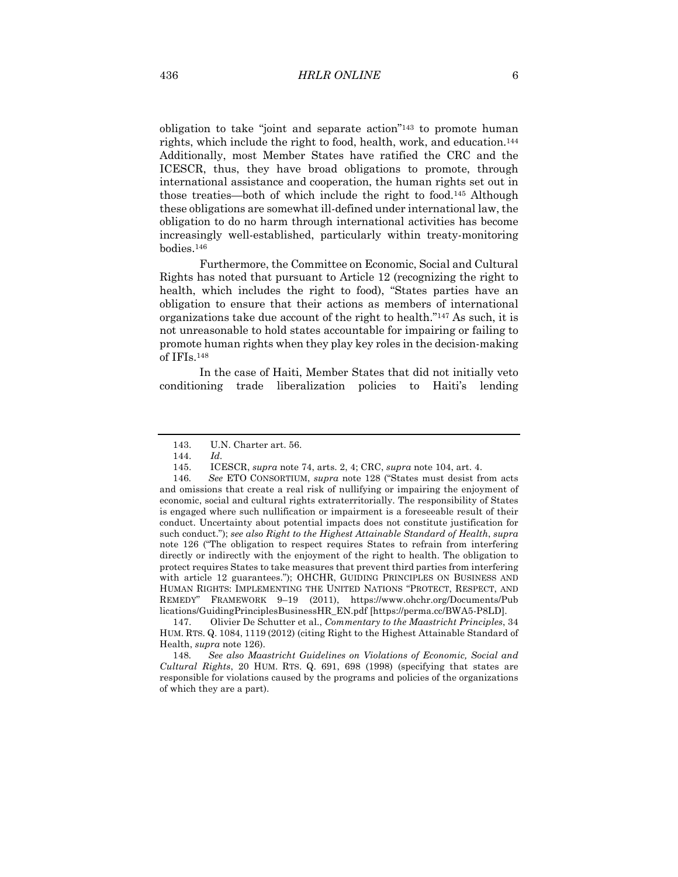obligation to take "joint and separate action"143 to promote human rights, which include the right to food, health, work, and education.144 Additionally, most Member States have ratified the CRC and the ICESCR, thus, they have broad obligations to promote, through international assistance and cooperation, the human rights set out in those treaties—both of which include the right to food.145 Although these obligations are somewhat ill-defined under international law, the obligation to do no harm through international activities has become increasingly well-established, particularly within treaty-monitoring bodies.146

Furthermore, the Committee on Economic, Social and Cultural Rights has noted that pursuant to Article 12 (recognizing the right to health, which includes the right to food), "States parties have an obligation to ensure that their actions as members of international organizations take due account of the right to health."147 As such, it is not unreasonable to hold states accountable for impairing or failing to promote human rights when they play key roles in the decision-making of IFIs.148

In the case of Haiti, Member States that did not initially veto conditioning trade liberalization policies to Haiti's lending

148*. See also Maastricht Guidelines on Violations of Economic, Social and Cultural Rights*, 20 HUM. RTS. Q. 691, 698 (1998) (specifying that states are responsible for violations caused by the programs and policies of the organizations of which they are a part).

<sup>143.</sup> U.N. Charter art. 56.

<sup>144.</sup> *Id.*

<sup>145.</sup> ICESCR, *supra* note 74, arts. 2, 4; CRC, *supra* note 104, art. 4.

<sup>146</sup>*. See* ETO CONSORTIUM, *supra* note 128 ("States must desist from acts and omissions that create a real risk of nullifying or impairing the enjoyment of economic, social and cultural rights extraterritorially. The responsibility of States is engaged where such nullification or impairment is a foreseeable result of their conduct. Uncertainty about potential impacts does not constitute justification for such conduct."); *see also Right to the Highest Attainable Standard of Health*, *supra* note 126 ("The obligation to respect requires States to refrain from interfering directly or indirectly with the enjoyment of the right to health. The obligation to protect requires States to take measures that prevent third parties from interfering with article 12 guarantees."); OHCHR, GUIDING PRINCIPLES ON BUSINESS AND HUMAN RIGHTS: IMPLEMENTING THE UNITED NATIONS "PROTECT, RESPECT, AND REMEDY" FRAMEWORK 9–19 (2011), https://www.ohchr.org/Documents/Pub lications/GuidingPrinciplesBusinessHR\_EN.pdf [https://perma.cc/BWA5-P8LD].

<sup>147.</sup> Olivier De Schutter et al., *Commentary to the Maastricht Principles*, 34 HUM. RTS. Q. 1084, 1119 (2012) (citing Right to the Highest Attainable Standard of Health, *supra* note 126).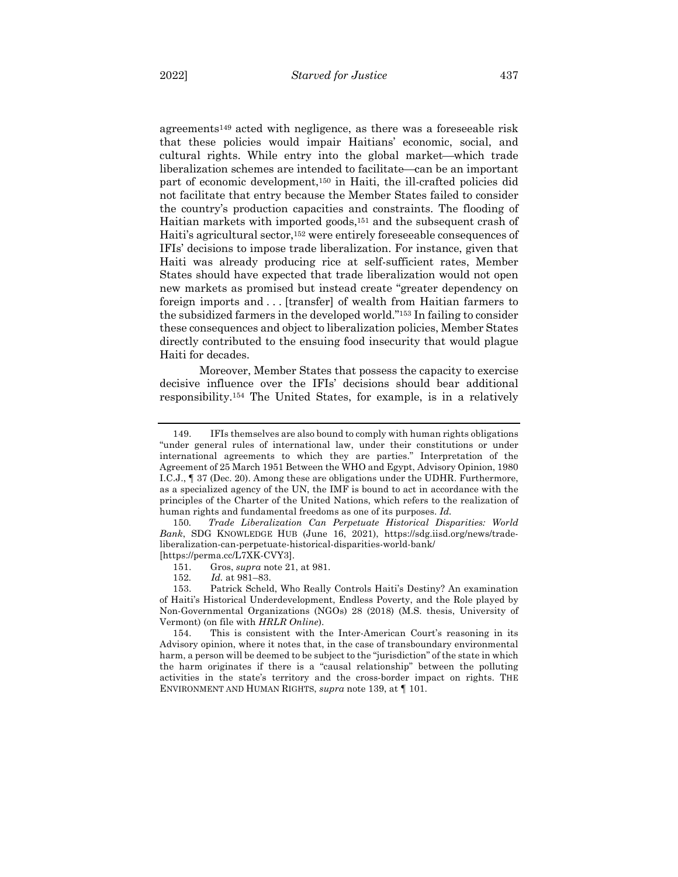agreements149 acted with negligence, as there was a foreseeable risk that these policies would impair Haitians' economic, social, and cultural rights. While entry into the global market—which trade liberalization schemes are intended to facilitate—can be an important part of economic development,150 in Haiti, the ill-crafted policies did not facilitate that entry because the Member States failed to consider the country's production capacities and constraints. The flooding of Haitian markets with imported goods,151 and the subsequent crash of Haiti's agricultural sector,<sup>152</sup> were entirely foreseeable consequences of IFIs' decisions to impose trade liberalization. For instance, given that Haiti was already producing rice at self-sufficient rates, Member States should have expected that trade liberalization would not open new markets as promised but instead create "greater dependency on foreign imports and . . . [transfer] of wealth from Haitian farmers to the subsidized farmers in the developed world."153 In failing to consider these consequences and object to liberalization policies, Member States directly contributed to the ensuing food insecurity that would plague Haiti for decades.

Moreover, Member States that possess the capacity to exercise decisive influence over the IFIs' decisions should bear additional responsibility.154 The United States, for example, is in a relatively

<sup>149.</sup> IFIs themselves are also bound to comply with human rights obligations "under general rules of international law, under their constitutions or under international agreements to which they are parties." Interpretation of the Agreement of 25 March 1951 Between the WHO and Egypt, Advisory Opinion, 1980 I.C.J., ¶ 37 (Dec. 20). Among these are obligations under the UDHR. Furthermore, as a specialized agency of the UN, the IMF is bound to act in accordance with the principles of the Charter of the United Nations, which refers to the realization of human rights and fundamental freedoms as one of its purposes. *Id.*

<sup>150</sup>*. Trade Liberalization Can Perpetuate Historical Disparities: World Bank*, SDG KNOWLEDGE HUB (June 16, 2021), https://sdg.iisd.org/news/tradeliberalization-can-perpetuate-historical-disparities-world-bank/ [https://perma.cc/L7XK-CVY3].

<sup>151.</sup> Gros, *supra* note 21, at 981.

<sup>152</sup>*. Id.* at 981–83.

<sup>153.</sup> Patrick Scheld, Who Really Controls Haiti's Destiny? An examination of Haiti's Historical Underdevelopment, Endless Poverty, and the Role played by Non-Governmental Organizations (NGOs) 28 (2018) (M.S. thesis, University of Vermont) (on file with *HRLR Online*).

<sup>154.</sup> This is consistent with the Inter-American Court's reasoning in its Advisory opinion, where it notes that, in the case of transboundary environmental harm, a person will be deemed to be subject to the "jurisdiction" of the state in which the harm originates if there is a "causal relationship" between the polluting activities in the state's territory and the cross-border impact on rights. THE ENVIRONMENT AND HUMAN RIGHTS, *supra* note 139, at ¶ 101.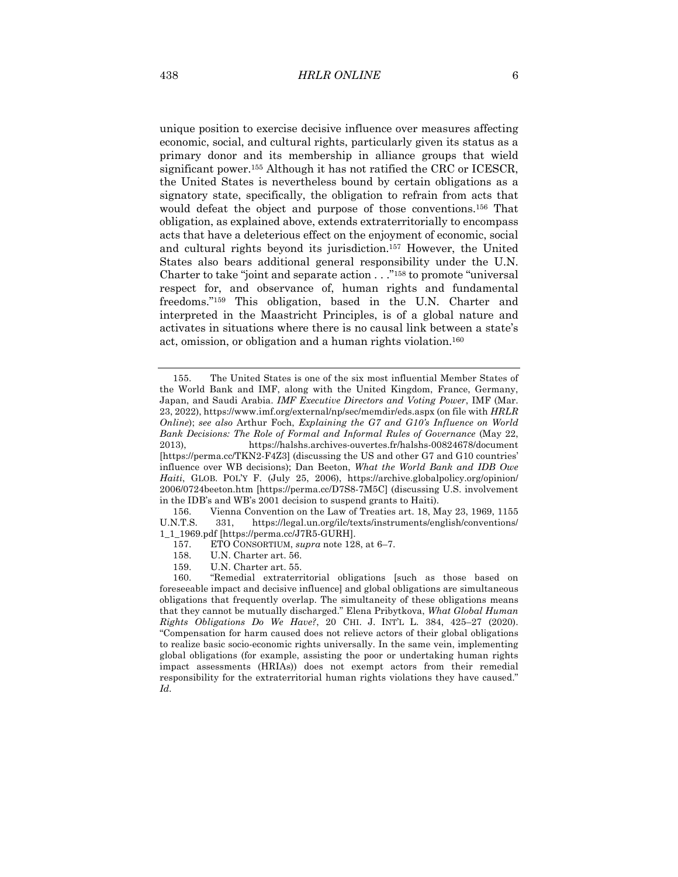unique position to exercise decisive influence over measures affecting economic, social, and cultural rights, particularly given its status as a primary donor and its membership in alliance groups that wield significant power.155 Although it has not ratified the CRC or ICESCR, the United States is nevertheless bound by certain obligations as a signatory state, specifically, the obligation to refrain from acts that would defeat the object and purpose of those conventions.156 That obligation, as explained above, extends extraterritorially to encompass acts that have a deleterious effect on the enjoyment of economic, social and cultural rights beyond its jurisdiction.157 However, the United States also bears additional general responsibility under the U.N. Charter to take "joint and separate action . . ."158 to promote "universal respect for, and observance of, human rights and fundamental freedoms."159 This obligation, based in the U.N. Charter and interpreted in the Maastricht Principles, is of a global nature and activates in situations where there is no causal link between a state's act, omission, or obligation and a human rights violation.160

- 157. ETO CONSORTIUM, *supra* note 128, at 6–7.
- 158. U.N. Charter art. 56.
- 159. U.N. Charter art. 55.

<sup>155.</sup> The United States is one of the six most influential Member States of the World Bank and IMF, along with the United Kingdom, France, Germany, Japan, and Saudi Arabia. *IMF Executive Directors and Voting Power*, IMF (Mar. 23, 2022), https://www.imf.org/external/np/sec/memdir/eds.aspx (on file with *HRLR Online*); *see also* Arthur Foch, *Explaining the G7 and G10's Influence on World Bank Decisions: The Role of Formal and Informal Rules of Governance* (May 22, 2013), https://halshs.archives-ouvertes.fr/halshs-00824678/document [https://perma.cc/TKN2-F4Z3] (discussing the US and other G7 and G10 countries' influence over WB decisions); Dan Beeton, *What the World Bank and IDB Owe Haiti*, GLOB. POL'Y F. (July 25, 2006), https://archive.globalpolicy.org/opinion/ 2006/0724beeton.htm [https://perma.cc/D7S8-7M5C] (discussing U.S. involvement in the IDB's and WB's 2001 decision to suspend grants to Haiti).

<sup>156.</sup> Vienna Convention on the Law of Treaties art. 18, May 23, 1969, 1155 U.N.T.S. 331, https://legal.un.org/ilc/texts/instruments/english/conventions/ 1\_1\_1969.pdf [https://perma.cc/J7R5-GURH].

<sup>160.</sup> "Remedial extraterritorial obligations [such as those based on foreseeable impact and decisive influence] and global obligations are simultaneous obligations that frequently overlap. The simultaneity of these obligations means that they cannot be mutually discharged." Elena Pribytkova, *What Global Human Rights Obligations Do We Have?*, 20 CHI. J. INT'L L. 384, 425–27 (2020). "Compensation for harm caused does not relieve actors of their global obligations to realize basic socio-economic rights universally. In the same vein, implementing global obligations (for example, assisting the poor or undertaking human rights impact assessments (HRIAs)) does not exempt actors from their remedial responsibility for the extraterritorial human rights violations they have caused." *Id.*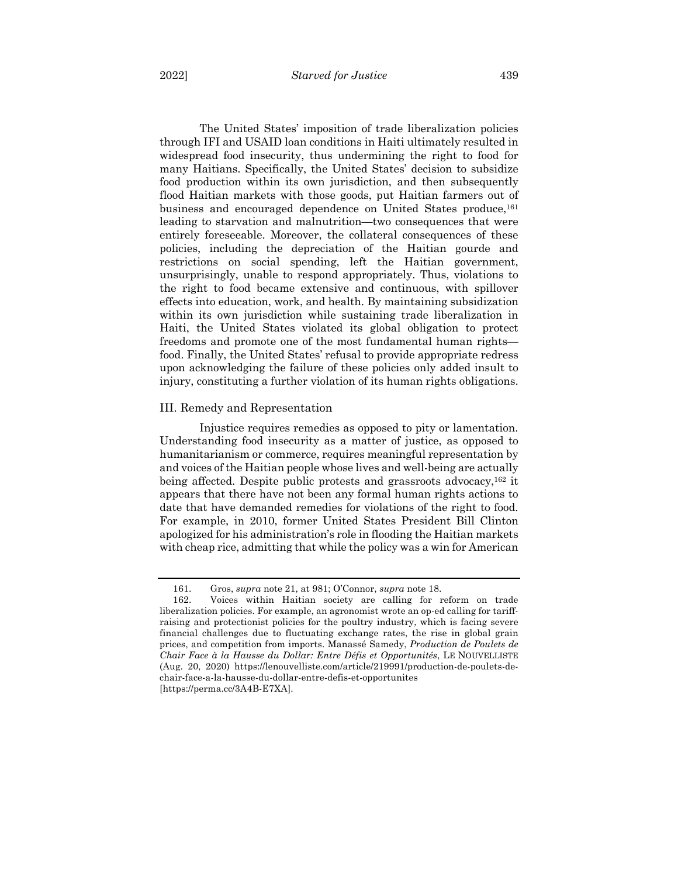The United States' imposition of trade liberalization policies through IFI and USAID loan conditions in Haiti ultimately resulted in widespread food insecurity, thus undermining the right to food for many Haitians. Specifically, the United States' decision to subsidize food production within its own jurisdiction, and then subsequently flood Haitian markets with those goods, put Haitian farmers out of business and encouraged dependence on United States produce,161 leading to starvation and malnutrition—two consequences that were entirely foreseeable. Moreover, the collateral consequences of these policies, including the depreciation of the Haitian gourde and restrictions on social spending, left the Haitian government, unsurprisingly, unable to respond appropriately. Thus, violations to the right to food became extensive and continuous, with spillover effects into education, work, and health. By maintaining subsidization within its own jurisdiction while sustaining trade liberalization in Haiti, the United States violated its global obligation to protect freedoms and promote one of the most fundamental human rights food. Finally, the United States' refusal to provide appropriate redress upon acknowledging the failure of these policies only added insult to injury, constituting a further violation of its human rights obligations.

#### III. Remedy and Representation

Injustice requires remedies as opposed to pity or lamentation. Understanding food insecurity as a matter of justice, as opposed to humanitarianism or commerce, requires meaningful representation by and voices of the Haitian people whose lives and well-being are actually being affected. Despite public protests and grassroots advocacy,<sup>162</sup> it appears that there have not been any formal human rights actions to date that have demanded remedies for violations of the right to food. For example, in 2010, former United States President Bill Clinton apologized for his administration's role in flooding the Haitian markets with cheap rice, admitting that while the policy was a win for American

<sup>161.</sup> Gros, *supra* note 21, at 981; O'Connor, *supra* note 18.

<sup>162.</sup> Voices within Haitian society are calling for reform on trade liberalization policies. For example, an agronomist wrote an op-ed calling for tariffraising and protectionist policies for the poultry industry, which is facing severe financial challenges due to fluctuating exchange rates, the rise in global grain prices, and competition from imports. Manassé Samedy, *Production de Poulets de Chair Face à la Hausse du Dollar: Entre Défis et Opportunités*, LE NOUVELLISTE (Aug. 20, 2020) https://lenouvelliste.com/article/219991/production-de-poulets-dechair-face-a-la-hausse-du-dollar-entre-defis-et-opportunites [https://perma.cc/3A4B-E7XA].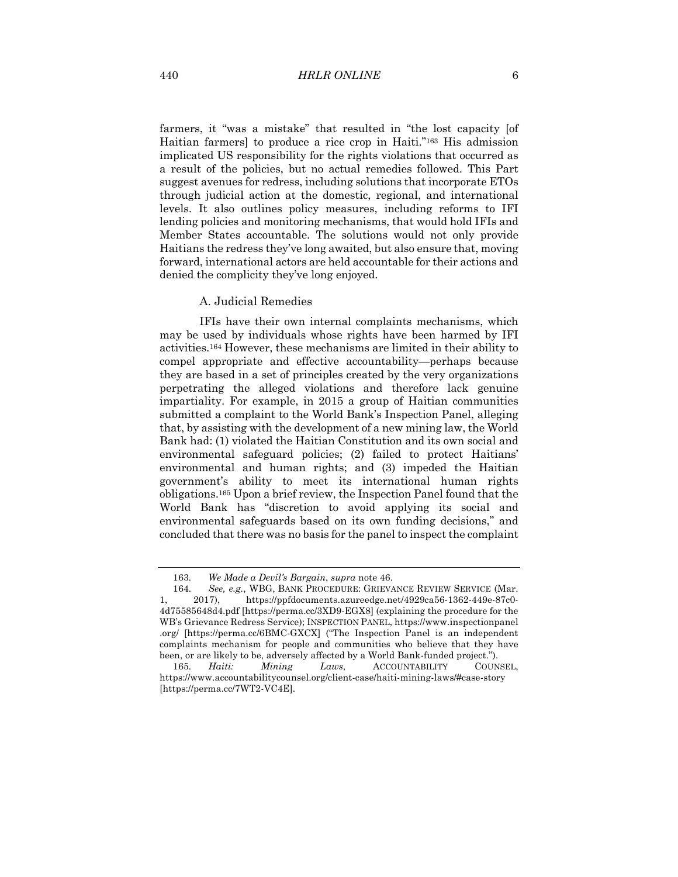farmers, it "was a mistake" that resulted in "the lost capacity [of Haitian farmers] to produce a rice crop in Haiti."163 His admission implicated US responsibility for the rights violations that occurred as a result of the policies, but no actual remedies followed. This Part suggest avenues for redress, including solutions that incorporate ETOs through judicial action at the domestic, regional, and international levels. It also outlines policy measures, including reforms to IFI lending policies and monitoring mechanisms, that would hold IFIs and Member States accountable. The solutions would not only provide Haitians the redress they've long awaited, but also ensure that, moving forward, international actors are held accountable for their actions and denied the complicity they've long enjoyed.

#### A. Judicial Remedies

IFIs have their own internal complaints mechanisms, which may be used by individuals whose rights have been harmed by IFI activities.164 However, these mechanisms are limited in their ability to compel appropriate and effective accountability—perhaps because they are based in a set of principles created by the very organizations perpetrating the alleged violations and therefore lack genuine impartiality. For example, in 2015 a group of Haitian communities submitted a complaint to the World Bank's Inspection Panel, alleging that, by assisting with the development of a new mining law, the World Bank had: (1) violated the Haitian Constitution and its own social and environmental safeguard policies; (2) failed to protect Haitians' environmental and human rights; and (3) impeded the Haitian government's ability to meet its international human rights obligations.165 Upon a brief review, the Inspection Panel found that the World Bank has "discretion to avoid applying its social and environmental safeguards based on its own funding decisions," and concluded that there was no basis for the panel to inspect the complaint

<sup>163</sup>*. We Made a Devil's Bargain*, *supra* note 46.

<sup>164</sup>*. See, e.g.*, WBG, BANK PROCEDURE: GRIEVANCE REVIEW SERVICE (Mar. 1, 2017), https://ppfdocuments.azureedge.net/4929ca56-1362-449e-87c0- 4d75585648d4.pdf [https://perma.cc/3XD9-EGX8] (explaining the procedure for the WB's Grievance Redress Service); INSPECTION PANEL, https://www.inspectionpanel .org/ [https://perma.cc/6BMC-GXCX] ("The Inspection Panel is an independent complaints mechanism for people and communities who believe that they have been, or are likely to be, adversely affected by a World Bank-funded project.").

<sup>165</sup>*. Haiti: Mining Laws*, ACCOUNTABILITY COUNSEL, https://www.accountabilitycounsel.org/client-case/haiti-mining-laws/#case-story [https://perma.cc/7WT2-VC4E].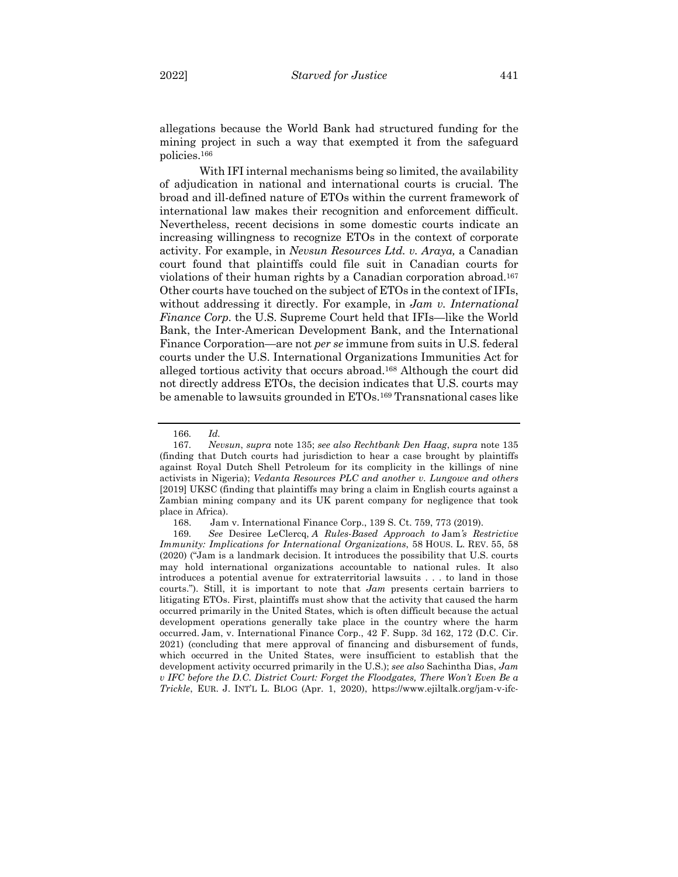allegations because the World Bank had structured funding for the mining project in such a way that exempted it from the safeguard policies.166

With IFI internal mechanisms being so limited, the availability of adjudication in national and international courts is crucial. The broad and ill-defined nature of ETOs within the current framework of international law makes their recognition and enforcement difficult. Nevertheless, recent decisions in some domestic courts indicate an increasing willingness to recognize ETOs in the context of corporate activity. For example, in *Nevsun Resources Ltd. v. Araya,* a Canadian court found that plaintiffs could file suit in Canadian courts for violations of their human rights by a Canadian corporation abroad.167 Other courts have touched on the subject of ETOs in the context of IFIs, without addressing it directly. For example, in *Jam v. International Finance Corp.* the U.S. Supreme Court held that IFIs—like the World Bank, the Inter-American Development Bank, and the International Finance Corporation—are not *per se* immune from suits in U.S. federal courts under the U.S. International Organizations Immunities Act for alleged tortious activity that occurs abroad.168 Although the court did not directly address ETOs, the decision indicates that U.S. courts may be amenable to lawsuits grounded in ETOs.169 Transnational cases like

<sup>166</sup>*. Id.*

<sup>167</sup>*. Nevsun*, *supra* note 135; *see also Rechtbank Den Haag*, *supra* note 135 (finding that Dutch courts had jurisdiction to hear a case brought by plaintiffs against Royal Dutch Shell Petroleum for its complicity in the killings of nine activists in Nigeria); *Vedanta Resources PLC and another v. Lungowe and others* [2019] UKSC (finding that plaintiffs may bring a claim in English courts against a Zambian mining company and its UK parent company for negligence that took place in Africa).

<sup>168.</sup> Jam v. International Finance Corp., 139 S. Ct. 759, 773 (2019).

<sup>169</sup>*. See* Desiree LeClercq, *A Rules-Based Approach to* Jam*'s Restrictive Immunity: Implications for International Organizations*, 58 HOUS. L. REV. 55, 58 (2020) ("Jam is a landmark decision. It introduces the possibility that U.S. courts may hold international organizations accountable to national rules. It also introduces a potential avenue for extraterritorial lawsuits . . . to land in those courts."). Still, it is important to note that *Jam* presents certain barriers to litigating ETOs. First, plaintiffs must show that the activity that caused the harm occurred primarily in the United States, which is often difficult because the actual development operations generally take place in the country where the harm occurred. Jam, v. International Finance Corp., 42 F. Supp. 3d 162, 172 (D.C. Cir. 2021) (concluding that mere approval of financing and disbursement of funds, which occurred in the United States, were insufficient to establish that the development activity occurred primarily in the U.S.); *see also* Sachintha Dias, *Jam v IFC before the D.C. District Court: Forget the Floodgates, There Won't Even Be a Trickle*, EUR. J. INT'L L. BLOG (Apr. 1, 2020), https://www.ejiltalk.org/jam-v-ifc-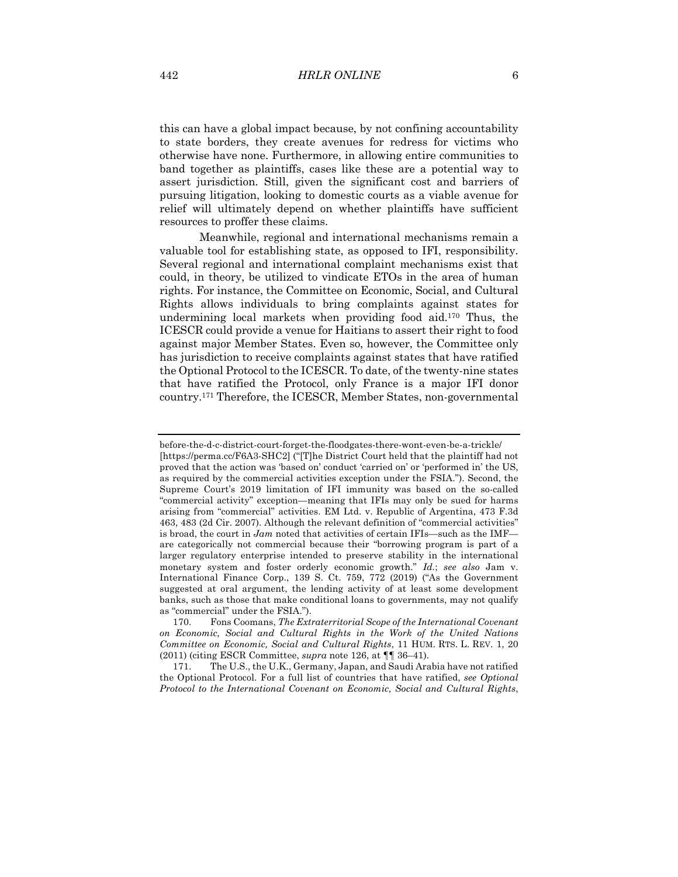this can have a global impact because, by not confining accountability to state borders, they create avenues for redress for victims who otherwise have none. Furthermore, in allowing entire communities to band together as plaintiffs, cases like these are a potential way to assert jurisdiction. Still, given the significant cost and barriers of pursuing litigation, looking to domestic courts as a viable avenue for relief will ultimately depend on whether plaintiffs have sufficient resources to proffer these claims.

Meanwhile, regional and international mechanisms remain a valuable tool for establishing state, as opposed to IFI, responsibility. Several regional and international complaint mechanisms exist that could, in theory, be utilized to vindicate ETOs in the area of human rights. For instance, the Committee on Economic, Social, and Cultural Rights allows individuals to bring complaints against states for undermining local markets when providing food aid.170 Thus, the ICESCR could provide a venue for Haitians to assert their right to food against major Member States. Even so, however, the Committee only has jurisdiction to receive complaints against states that have ratified the Optional Protocol to the ICESCR. To date, of the twenty-nine states that have ratified the Protocol, only France is a major IFI donor country.171 Therefore, the ICESCR, Member States, non-governmental

171. The U.S., the U.K., Germany, Japan, and Saudi Arabia have not ratified the Optional Protocol. For a full list of countries that have ratified, *see Optional Protocol to the International Covenant on Economic, Social and Cultural Rights*,

before-the-d-c-district-court-forget-the-floodgates-there-wont-even-be-a-trickle/ [https://perma.cc/F6A3-SHC2] ("[T]he District Court held that the plaintiff had not proved that the action was 'based on' conduct 'carried on' or 'performed in' the US, as required by the commercial activities exception under the FSIA."). Second, the Supreme Court's 2019 limitation of IFI immunity was based on the so-called "commercial activity" exception—meaning that IFIs may only be sued for harms arising from "commercial" activities. EM Ltd. v. Republic of Argentina, 473 F.3d 463, 483 (2d Cir. 2007). Although the relevant definition of "commercial activities" is broad, the court in *Jam* noted that activities of certain IFIs—such as the IMF are categorically not commercial because their "borrowing program is part of a larger regulatory enterprise intended to preserve stability in the international monetary system and foster orderly economic growth." *Id.*; *see also* Jam v. International Finance Corp., 139 S. Ct. 759, 772 (2019) ("As the Government suggested at oral argument, the lending activity of at least some development banks, such as those that make conditional loans to governments, may not qualify as "commercial" under the FSIA.").

<sup>170.</sup> Fons Coomans, *The Extraterritorial Scope of the International Covenant on Economic, Social and Cultural Rights in the Work of the United Nations Committee on Economic, Social and Cultural Rights*, 11 HUM. RTS. L. REV. 1, 20 (2011) (citing ESCR Committee, *supra* note 126, at ¶¶ 36–41).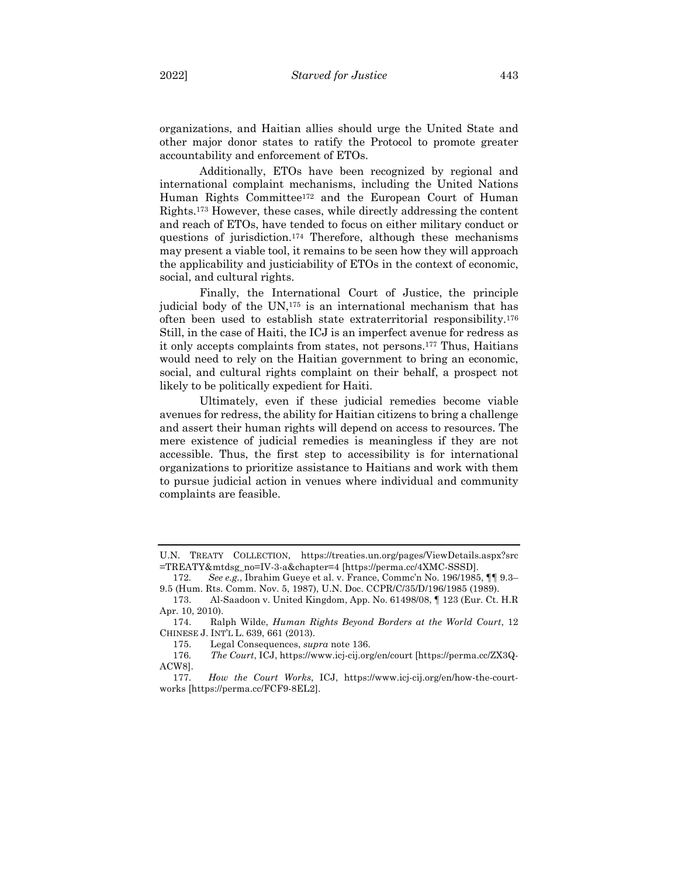organizations, and Haitian allies should urge the United State and other major donor states to ratify the Protocol to promote greater accountability and enforcement of ETOs.

Additionally, ETOs have been recognized by regional and international complaint mechanisms, including the United Nations Human Rights Committee172 and the European Court of Human Rights.173 However, these cases, while directly addressing the content and reach of ETOs, have tended to focus on either military conduct or questions of jurisdiction.174 Therefore, although these mechanisms may present a viable tool, it remains to be seen how they will approach the applicability and justiciability of ETOs in the context of economic, social, and cultural rights.

Finally, the International Court of Justice, the principle judicial body of the UN,175 is an international mechanism that has often been used to establish state extraterritorial responsibility.176 Still, in the case of Haiti, the ICJ is an imperfect avenue for redress as it only accepts complaints from states, not persons.177 Thus, Haitians would need to rely on the Haitian government to bring an economic, social, and cultural rights complaint on their behalf, a prospect not likely to be politically expedient for Haiti.

Ultimately, even if these judicial remedies become viable avenues for redress, the ability for Haitian citizens to bring a challenge and assert their human rights will depend on access to resources. The mere existence of judicial remedies is meaningless if they are not accessible. Thus, the first step to accessibility is for international organizations to prioritize assistance to Haitians and work with them to pursue judicial action in venues where individual and community complaints are feasible.

U.N. TREATY COLLECTION, https://treaties.un.org/pages/ViewDetails.aspx?src =TREATY&mtdsg\_no=IV-3-a&chapter=4 [https://perma.cc/4XMC-SSSD].

<sup>172</sup>*. See e.g.*, Ibrahim Gueye et al. v. France, Commc'n No. 196/1985, ¶¶ 9.3– 9.5 (Hum. Rts. Comm. Nov. 5, 1987), U.N. Doc. CCPR/C/35/D/196/1985 (1989).

<sup>173.</sup> Al-Saadoon v. United Kingdom, App. No. 61498/08, ¶ 123 (Eur. Ct. H.R Apr. 10, 2010).

<sup>174.</sup> Ralph Wilde, *Human Rights Beyond Borders at the World Court*, 12 CHINESE J. INT'L L. 639, 661 (2013).

<sup>175.</sup> Legal Consequences, *supra* note 136.

<sup>176</sup>*. The Court*, ICJ, https://www.icj-cij.org/en/court [https://perma.cc/ZX3Q-ACW8].

<sup>177</sup>*. How the Court Works*, ICJ, https://www.icj-cij.org/en/how-the-courtworks [https://perma.cc/FCF9-8EL2].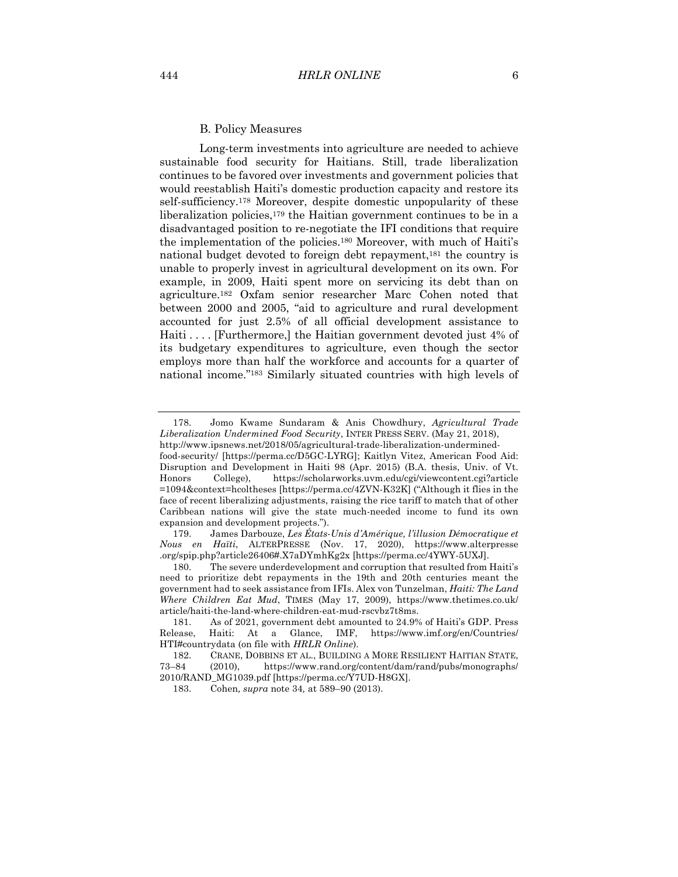#### B. Policy Measures

Long-term investments into agriculture are needed to achieve sustainable food security for Haitians. Still, trade liberalization continues to be favored over investments and government policies that would reestablish Haiti's domestic production capacity and restore its self-sufficiency.178 Moreover, despite domestic unpopularity of these liberalization policies,179 the Haitian government continues to be in a disadvantaged position to re-negotiate the IFI conditions that require the implementation of the policies.180 Moreover, with much of Haiti's national budget devoted to foreign debt repayment,181 the country is unable to properly invest in agricultural development on its own. For example, in 2009, Haiti spent more on servicing its debt than on agriculture.182 Oxfam senior researcher Marc Cohen noted that between 2000 and 2005, "aid to agriculture and rural development accounted for just 2.5% of all official development assistance to Haiti . . . . [Furthermore,] the Haitian government devoted just 4% of its budgetary expenditures to agriculture, even though the sector employs more than half the workforce and accounts for a quarter of national income."183 Similarly situated countries with high levels of

<sup>178.</sup> Jomo Kwame Sundaram & Anis Chowdhury, *Agricultural Trade Liberalization Undermined Food Security*, INTER PRESS SERV. (May 21, 2018),

http://www.ipsnews.net/2018/05/agricultural-trade-liberalization-underminedfood-security/ [https://perma.cc/D5GC-LYRG]; Kaitlyn Vitez, American Food Aid: Disruption and Development in Haiti 98 (Apr. 2015) (B.A. thesis, Univ. of Vt. Honors College), https://scholarworks.uvm.edu/cgi/viewcontent.cgi?article =1094&context=hcoltheses [https://perma.cc/4ZVN-K32K] ("Although it flies in the face of recent liberalizing adjustments, raising the rice tariff to match that of other Caribbean nations will give the state much-needed income to fund its own expansion and development projects.").

<sup>179.</sup> James Darbouze, *Les États-Unis d'Amérique, l'illusion Démocratique et Nous en Haïti*, ALTERPRESSE (Nov. 17, 2020), https://www.alterpresse .org/spip.php?article26406#.X7aDYmhKg2x [https://perma.cc/4YWY-5UXJ].

<sup>180.</sup> The severe underdevelopment and corruption that resulted from Haiti's need to prioritize debt repayments in the 19th and 20th centuries meant the government had to seek assistance from IFIs. Alex von Tunzelman, *Haiti: The Land Where Children Eat Mud*, TIMES (May 17, 2009), https://www.thetimes.co.uk/ article/haiti-the-land-where-children-eat-mud-rscvbz7t8ms.

<sup>181.</sup> As of 2021, government debt amounted to 24.9% of Haiti's GDP. Press Release, Haiti: At a Glance, IMF, https://www.imf.org/en/Countries/ HTI#countrydata (on file with *HRLR Online*).

<sup>182.</sup> CRANE, DOBBINS ET AL., BUILDING A MORE RESILIENT HAITIAN STATE, 73–84 (2010), https://www.rand.org/content/dam/rand/pubs/monographs/ 2010/RAND\_MG1039.pdf [https://perma.cc/Y7UD-H8GX].

<sup>183.</sup> Cohen*, supra* note 34*,* at 589–90 (2013).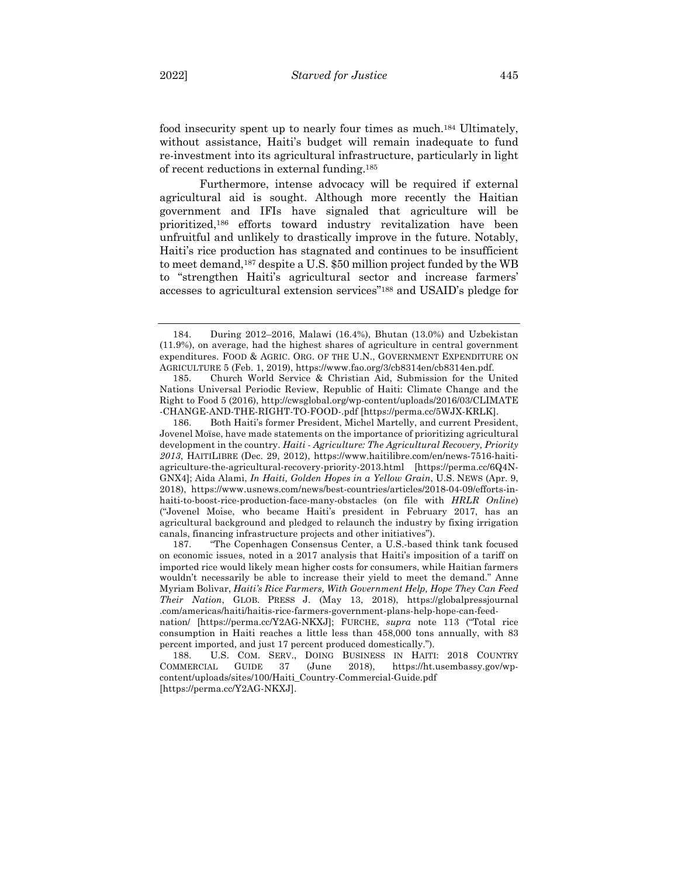food insecurity spent up to nearly four times as much.184 Ultimately, without assistance, Haiti's budget will remain inadequate to fund re-investment into its agricultural infrastructure, particularly in light of recent reductions in external funding.185

Furthermore, intense advocacy will be required if external agricultural aid is sought. Although more recently the Haitian government and IFIs have signaled that agriculture will be prioritized,186 efforts toward industry revitalization have been unfruitful and unlikely to drastically improve in the future. Notably, Haiti's rice production has stagnated and continues to be insufficient to meet demand,187 despite a U.S. \$50 million project funded by the WB to "strengthen Haiti's agricultural sector and increase farmers' accesses to agricultural extension services"188 and USAID's pledge for

187. "The Copenhagen Consensus Center, a U.S.-based think tank focused on economic issues, noted in a 2017 analysis that Haiti's imposition of a tariff on imported rice would likely mean higher costs for consumers, while Haitian farmers wouldn't necessarily be able to increase their yield to meet the demand." Anne Myriam Bolivar, *Haiti's Rice Farmers, With Government Help, Hope They Can Feed Their Nation*, GLOB. PRESS J. (May 13, 2018), https://globalpressjournal .com/americas/haiti/haitis-rice-farmers-government-plans-help-hope-can-feednation/ [https://perma.cc/Y2AG-NKXJ]; FURCHE, *supra* note 113 ("Total rice consumption in Haiti reaches a little less than 458,000 tons annually, with 83

[https://perma.cc/Y2AG-NKXJ].

<sup>184.</sup> During 2012–2016, Malawi (16.4%), Bhutan (13.0%) and Uzbekistan (11.9%), on average, had the highest shares of agriculture in central government expenditures. FOOD & AGRIC. ORG. OF THE U.N., GOVERNMENT EXPENDITURE ON AGRICULTURE 5 (Feb. 1, 2019), https://www.fao.org/3/cb8314en/cb8314en.pdf.

<sup>185.</sup> Church World Service & Christian Aid, Submission for the United Nations Universal Periodic Review, Republic of Haiti: Climate Change and the Right to Food 5 (2016), http://cwsglobal.org/wp-content/uploads/2016/03/CLIMATE -CHANGE-AND-THE-RIGHT-TO-FOOD-.pdf [https://perma.cc/5WJX-KRLK].

<sup>186.</sup> Both Haiti's former President, Michel Martelly, and current President, Jovenel Moïse, have made statements on the importance of prioritizing agricultural development in the country. *Haiti - Agriculture: The Agricultural Recovery, Priority 2013*, HAITILIBRE (Dec. 29, 2012), https://www.haitilibre.com/en/news-7516-haitiagriculture-the-agricultural-recovery-priority-2013.html [https://perma.cc/6Q4N-GNX4]; Aida Alami, *In Haiti, Golden Hopes in a Yellow Grain*, U.S. NEWS (Apr. 9, 2018), https://www.usnews.com/news/best-countries/articles/2018-04-09/efforts-inhaiti-to-boost-rice-production-face-many-obstacles (on file with *HRLR Online*) ("Jovenel Moise, who became Haiti's president in February 2017, has an agricultural background and pledged to relaunch the industry by fixing irrigation canals, financing infrastructure projects and other initiatives").

percent imported, and just 17 percent produced domestically."). 188. U.S. COM. SERV., DOING BUSINESS IN HAITI: 2018 COUNTRY COMMERCIAL GUIDE 37 (June 2018), https://ht.usembassy.gov/wpcontent/uploads/sites/100/Haiti\_Country-Commercial-Guide.pdf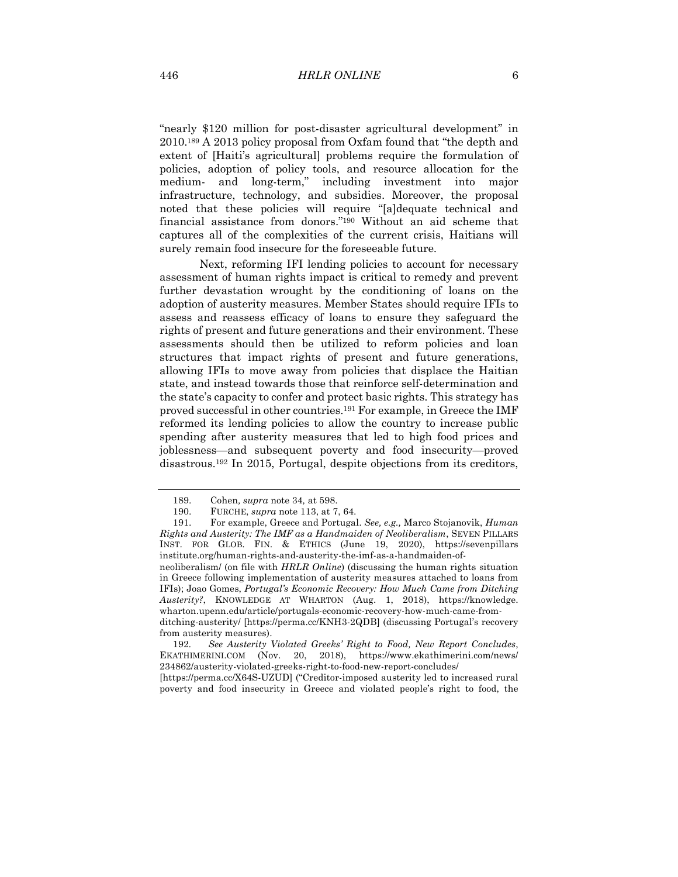"nearly \$120 million for post-disaster agricultural development" in 2010.189 A 2013 policy proposal from Oxfam found that "the depth and extent of [Haiti's agricultural] problems require the formulation of policies, adoption of policy tools, and resource allocation for the medium- and long-term," including investment into major infrastructure, technology, and subsidies. Moreover, the proposal noted that these policies will require "[a]dequate technical and financial assistance from donors."190 Without an aid scheme that captures all of the complexities of the current crisis, Haitians will surely remain food insecure for the foreseeable future.

Next, reforming IFI lending policies to account for necessary assessment of human rights impact is critical to remedy and prevent further devastation wrought by the conditioning of loans on the adoption of austerity measures. Member States should require IFIs to assess and reassess efficacy of loans to ensure they safeguard the rights of present and future generations and their environment. These assessments should then be utilized to reform policies and loan structures that impact rights of present and future generations, allowing IFIs to move away from policies that displace the Haitian state, and instead towards those that reinforce self-determination and the state's capacity to confer and protect basic rights. This strategy has proved successful in other countries.191 For example, in Greece the IMF reformed its lending policies to allow the country to increase public spending after austerity measures that led to high food prices and joblessness—and subsequent poverty and food insecurity—proved disastrous.192 In 2015, Portugal, despite objections from its creditors,

neoliberalism/ (on file with *HRLR Online*) (discussing the human rights situation in Greece following implementation of austerity measures attached to loans from IFIs); Joao Gomes, *Portugal's Economic Recovery: How Much Came from Ditching Austerity?*, KNOWLEDGE AT WHARTON (Aug. 1, 2018), https://knowledge. wharton.upenn.edu/article/portugals-economic-recovery-how-much-came-fromditching-austerity/ [https://perma.cc/KNH3-2QDB] (discussing Portugal's recovery

from austerity measures).

192*. See Austerity Violated Greeks' Right to Food, New Report Concludes*, EKATHIMERINI.COM (Nov. 20, 2018), https://www.ekathimerini.com/news/ 234862/austerity-violated-greeks-right-to-food-new-report-concludes/

<sup>189.</sup> Cohen*, supra* note 34*,* at 598.

<sup>190.</sup> FURCHE, *supra* note 113, at 7, 64.

<sup>191.</sup> For example, Greece and Portugal. *See, e.g.,* Marco Stojanovik, *Human Rights and Austerity: The IMF as a Handmaiden of Neoliberalism*, SEVEN PILLARS INST. FOR GLOB. FIN. & ETHICS (June 19, 2020), https://sevenpillars institute.org/human-rights-and-austerity-the-imf-as-a-handmaiden-of-

<sup>[</sup>https://perma.cc/X64S-UZUD] ("Creditor-imposed austerity led to increased rural poverty and food insecurity in Greece and violated people's right to food, the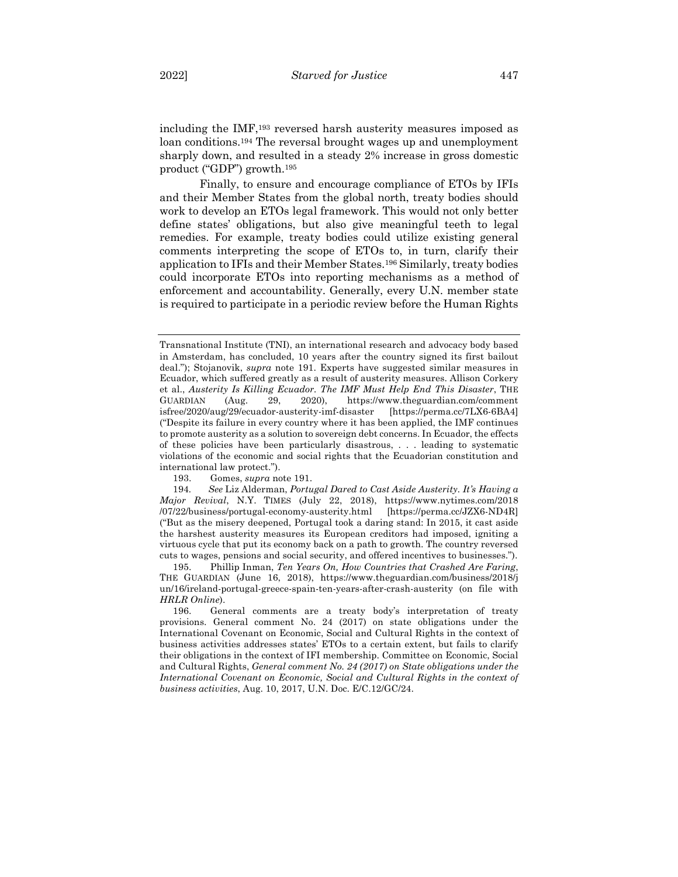including the IMF,193 reversed harsh austerity measures imposed as loan conditions.194 The reversal brought wages up and unemployment sharply down, and resulted in a steady 2% increase in gross domestic product ("GDP") growth.195

Finally, to ensure and encourage compliance of ETOs by IFIs and their Member States from the global north, treaty bodies should work to develop an ETOs legal framework. This would not only better define states' obligations, but also give meaningful teeth to legal remedies. For example, treaty bodies could utilize existing general comments interpreting the scope of ETOs to, in turn, clarify their application to IFIs and their Member States.196 Similarly, treaty bodies could incorporate ETOs into reporting mechanisms as a method of enforcement and accountability. Generally, every U.N. member state is required to participate in a periodic review before the Human Rights

Transnational Institute (TNI), an international research and advocacy body based in Amsterdam, has concluded, 10 years after the country signed its first bailout deal."); Stojanovik, *supra* note 191. Experts have suggested similar measures in Ecuador, which suffered greatly as a result of austerity measures. Allison Corkery et al., *Austerity Is Killing Ecuador. The IMF Must Help End This Disaster*, THE GUARDIAN (Aug. 29, 2020), https://www.theguardian.com/comment isfree/2020/aug/29/ecuador-austerity-imf-disaster [https://perma.cc/7LX6-6BA4] ("Despite its failure in every country where it has been applied, the IMF continues to promote austerity as a solution to sovereign debt concerns. In Ecuador, the effects of these policies have been particularly disastrous, . . . leading to systematic violations of the economic and social rights that the Ecuadorian constitution and international law protect.").

<sup>193.</sup> Gomes, *supra* note 191.

<sup>194</sup>*. See* Liz Alderman, *Portugal Dared to Cast Aside Austerity. It's Having a Major Revival*, N.Y. TIMES (July 22, 2018), https://www.nytimes.com/2018 /07/22/business/portugal-economy-austerity.html [https://perma.cc/JZX6-ND4R] ("But as the misery deepened, Portugal took a daring stand: In 2015, it cast aside the harshest austerity measures its European creditors had imposed, igniting a virtuous cycle that put its economy back on a path to growth. The country reversed cuts to wages, pensions and social security, and offered incentives to businesses.").

<sup>195.</sup> Phillip Inman, *Ten Years On, How Countries that Crashed Are Faring*, THE GUARDIAN (June 16, 2018), https://www.theguardian.com/business/2018/j un/16/ireland-portugal-greece-spain-ten-years-after-crash-austerity (on file with *HRLR Online*).

<sup>196.</sup> General comments are a treaty body's interpretation of treaty provisions. General comment No. 24 (2017) on state obligations under the International Covenant on Economic, Social and Cultural Rights in the context of business activities addresses states' ETOs to a certain extent, but fails to clarify their obligations in the context of IFI membership. Committee on Economic, Social and Cultural Rights, *General comment No. 24 (2017) on State obligations under the International Covenant on Economic, Social and Cultural Rights in the context of business activities*, Aug. 10, 2017, U.N. Doc. E/C.12/GC/24.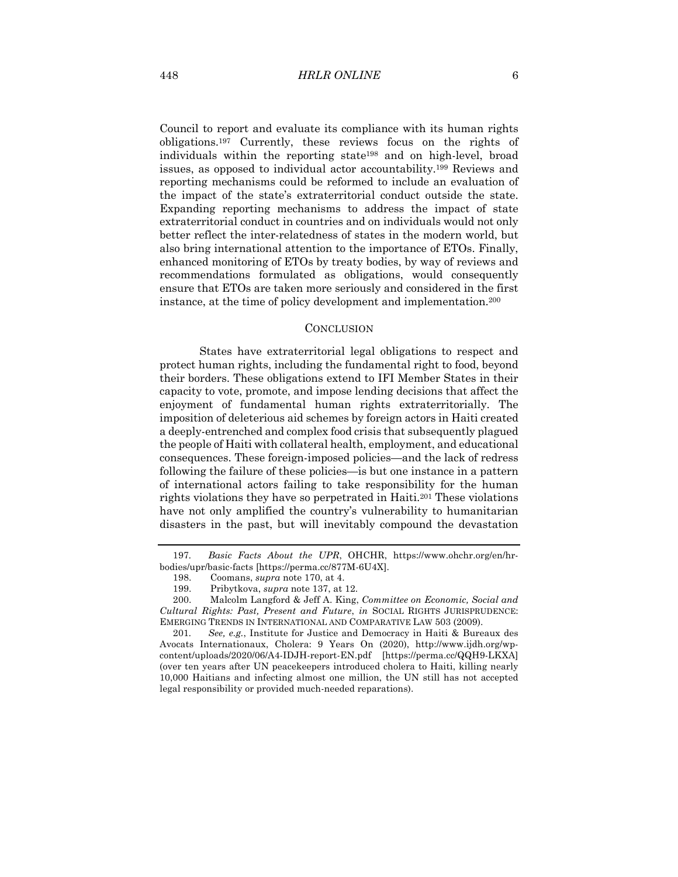Council to report and evaluate its compliance with its human rights obligations.197 Currently, these reviews focus on the rights of individuals within the reporting state198 and on high-level, broad issues, as opposed to individual actor accountability.199 Reviews and reporting mechanisms could be reformed to include an evaluation of the impact of the state's extraterritorial conduct outside the state. Expanding reporting mechanisms to address the impact of state extraterritorial conduct in countries and on individuals would not only better reflect the inter-relatedness of states in the modern world, but also bring international attention to the importance of ETOs. Finally, enhanced monitoring of ETOs by treaty bodies, by way of reviews and recommendations formulated as obligations, would consequently ensure that ETOs are taken more seriously and considered in the first instance, at the time of policy development and implementation.200

#### **CONCLUSION**

States have extraterritorial legal obligations to respect and protect human rights, including the fundamental right to food, beyond their borders. These obligations extend to IFI Member States in their capacity to vote, promote, and impose lending decisions that affect the enjoyment of fundamental human rights extraterritorially. The imposition of deleterious aid schemes by foreign actors in Haiti created a deeply-entrenched and complex food crisis that subsequently plagued the people of Haiti with collateral health, employment, and educational consequences. These foreign-imposed policies—and the lack of redress following the failure of these policies—is but one instance in a pattern of international actors failing to take responsibility for the human rights violations they have so perpetrated in Haiti.201 These violations have not only amplified the country's vulnerability to humanitarian disasters in the past, but will inevitably compound the devastation

<sup>197</sup>*. Basic Facts About the UPR*, OHCHR, https://www.ohchr.org/en/hrbodies/upr/basic-facts [https://perma.cc/877M-6U4X].

<sup>198.</sup> Coomans, *supra* note 170, at 4.

<sup>199.</sup> Pribytkova, *supra* note 137, at 12.

<sup>200.</sup> Malcolm Langford & Jeff A. King, *Committee on Economic, Social and Cultural Rights: Past, Present and Future*, *in* SOCIAL RIGHTS JURISPRUDENCE: EMERGING TRENDS IN INTERNATIONAL AND COMPARATIVE LAW 503 (2009).

<sup>201</sup>*. See, e.g.*, Institute for Justice and Democracy in Haiti & Bureaux des Avocats Internationaux, Cholera: 9 Years On (2020), http://www.ijdh.org/wpcontent/uploads/2020/06/A4-IDJH-report-EN.pdf [https://perma.cc/QQH9-LKXA] (over ten years after UN peacekeepers introduced cholera to Haiti, killing nearly 10,000 Haitians and infecting almost one million, the UN still has not accepted legal responsibility or provided much-needed reparations).